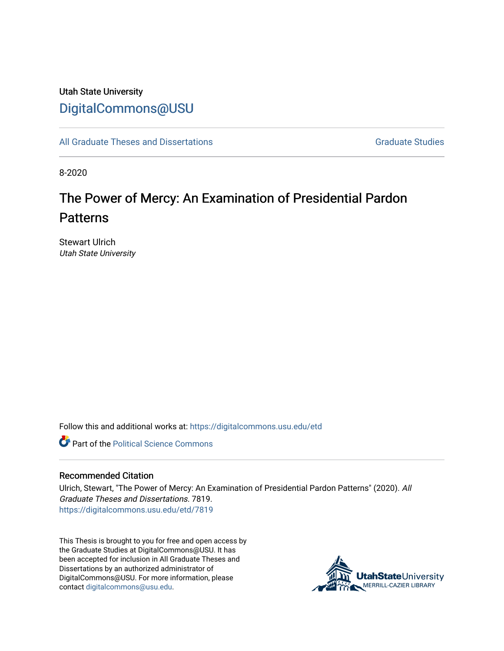## Utah State University [DigitalCommons@USU](https://digitalcommons.usu.edu/)

[All Graduate Theses and Dissertations](https://digitalcommons.usu.edu/etd) [Graduate Studies](https://digitalcommons.usu.edu/gradstudies) Graduate Studies

8-2020

# The Power of Mercy: An Examination of Presidential Pardon Patterns

Stewart Ulrich Utah State University

Follow this and additional works at: [https://digitalcommons.usu.edu/etd](https://digitalcommons.usu.edu/etd?utm_source=digitalcommons.usu.edu%2Fetd%2F7819&utm_medium=PDF&utm_campaign=PDFCoverPages) 

**Part of the Political Science Commons** 

### Recommended Citation

Ulrich, Stewart, "The Power of Mercy: An Examination of Presidential Pardon Patterns" (2020). All Graduate Theses and Dissertations. 7819. [https://digitalcommons.usu.edu/etd/7819](https://digitalcommons.usu.edu/etd/7819?utm_source=digitalcommons.usu.edu%2Fetd%2F7819&utm_medium=PDF&utm_campaign=PDFCoverPages)

This Thesis is brought to you for free and open access by the Graduate Studies at DigitalCommons@USU. It has been accepted for inclusion in All Graduate Theses and Dissertations by an authorized administrator of DigitalCommons@USU. For more information, please contact [digitalcommons@usu.edu](mailto:digitalcommons@usu.edu).

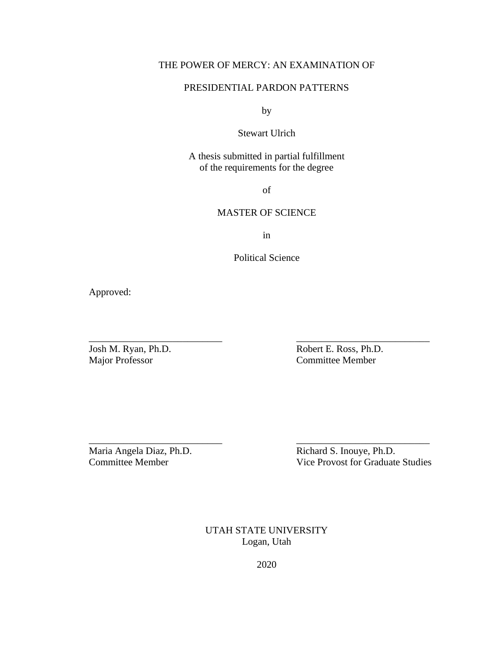## THE POWER OF MERCY: AN EXAMINATION OF

### PRESIDENTIAL PARDON PATTERNS

by

### Stewart Ulrich

A thesis submitted in partial fulfillment of the requirements for the degree

of

### MASTER OF SCIENCE

in

Political Science

\_\_\_\_\_\_\_\_\_\_\_\_\_\_\_\_\_\_\_\_\_\_\_\_\_\_\_ \_\_\_\_\_\_\_\_\_\_\_\_\_\_\_\_\_\_\_\_\_\_\_\_\_\_\_

\_\_\_\_\_\_\_\_\_\_\_\_\_\_\_\_\_\_\_\_\_\_\_\_\_\_\_ \_\_\_\_\_\_\_\_\_\_\_\_\_\_\_\_\_\_\_\_\_\_\_\_\_\_\_

Approved:

Josh M. Ryan, Ph.D. Robert E. Ross, Ph.D. Committee Member

Maria Angela Diaz, Ph.D.<br>
Committee Member<br>
Vice Provost for Graduate Vice Provost for Graduate Studies

> UTAH STATE UNIVERSITY Logan, Utah

> > 2020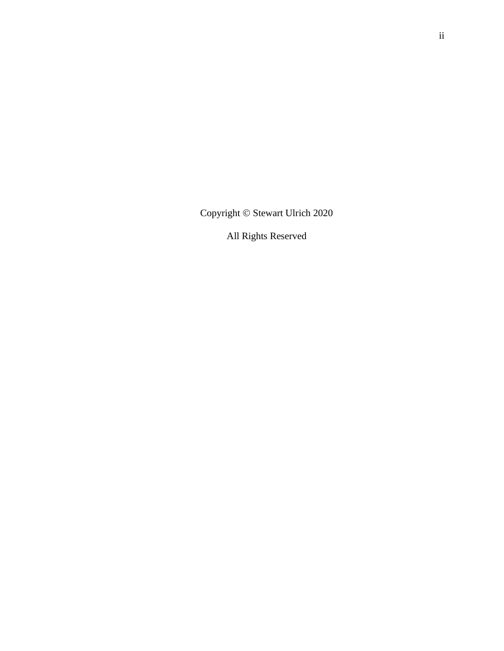Copyright © Stewart Ulrich 2020

All Rights Reserved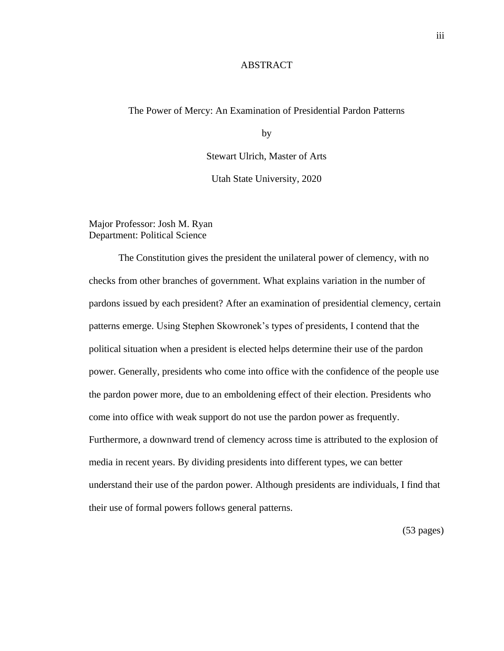### ABSTRACT

### The Power of Mercy: An Examination of Presidential Pardon Patterns

by

Stewart Ulrich, Master of Arts

Utah State University, 2020

Major Professor: Josh M. Ryan Department: Political Science

The Constitution gives the president the unilateral power of clemency, with no checks from other branches of government. What explains variation in the number of pardons issued by each president? After an examination of presidential clemency, certain patterns emerge. Using Stephen Skowronek's types of presidents, I contend that the political situation when a president is elected helps determine their use of the pardon power. Generally, presidents who come into office with the confidence of the people use the pardon power more, due to an emboldening effect of their election. Presidents who come into office with weak support do not use the pardon power as frequently. Furthermore, a downward trend of clemency across time is attributed to the explosion of media in recent years. By dividing presidents into different types, we can better understand their use of the pardon power. Although presidents are individuals, I find that their use of formal powers follows general patterns.

(53 pages)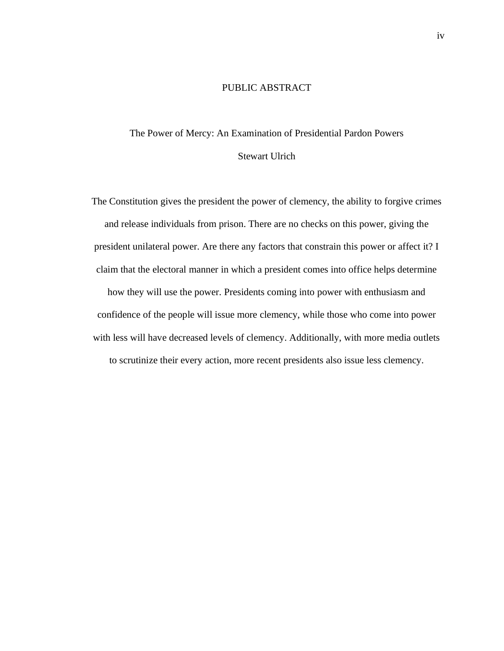### PUBLIC ABSTRACT

## The Power of Mercy: An Examination of Presidential Pardon Powers Stewart Ulrich

The Constitution gives the president the power of clemency, the ability to forgive crimes and release individuals from prison. There are no checks on this power, giving the president unilateral power. Are there any factors that constrain this power or affect it? I claim that the electoral manner in which a president comes into office helps determine how they will use the power. Presidents coming into power with enthusiasm and confidence of the people will issue more clemency, while those who come into power with less will have decreased levels of clemency. Additionally, with more media outlets to scrutinize their every action, more recent presidents also issue less clemency.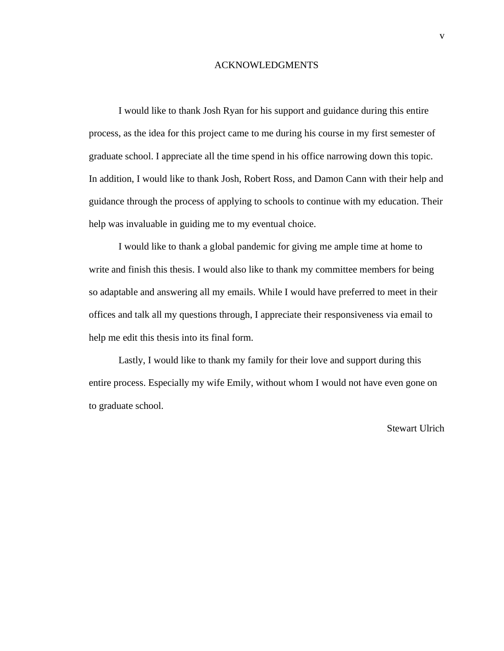### ACKNOWLEDGMENTS

I would like to thank Josh Ryan for his support and guidance during this entire process, as the idea for this project came to me during his course in my first semester of graduate school. I appreciate all the time spend in his office narrowing down this topic. In addition, I would like to thank Josh, Robert Ross, and Damon Cann with their help and guidance through the process of applying to schools to continue with my education. Their help was invaluable in guiding me to my eventual choice.

I would like to thank a global pandemic for giving me ample time at home to write and finish this thesis. I would also like to thank my committee members for being so adaptable and answering all my emails. While I would have preferred to meet in their offices and talk all my questions through, I appreciate their responsiveness via email to help me edit this thesis into its final form.

Lastly, I would like to thank my family for their love and support during this entire process. Especially my wife Emily, without whom I would not have even gone on to graduate school.

### Stewart Ulrich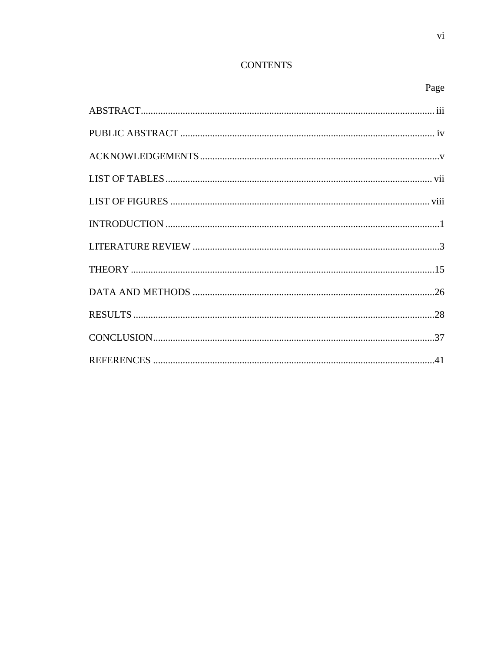## **CONTENTS**

## Page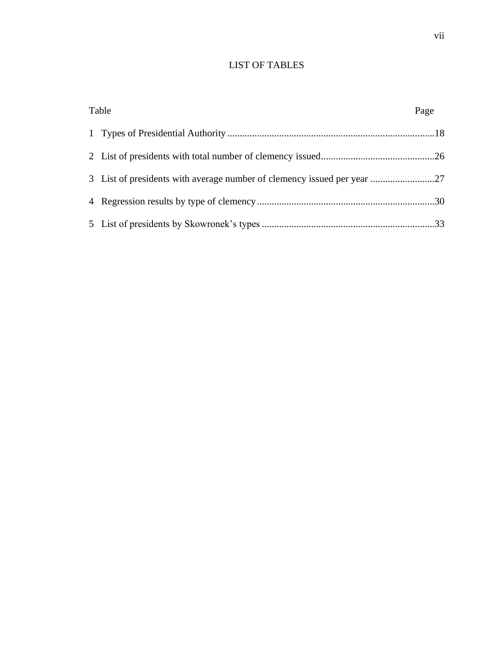## LIST OF TABLES

| Table                                                                   | Page |
|-------------------------------------------------------------------------|------|
|                                                                         |      |
|                                                                         |      |
| 3 List of presidents with average number of clemency issued per year 27 |      |
|                                                                         |      |
|                                                                         |      |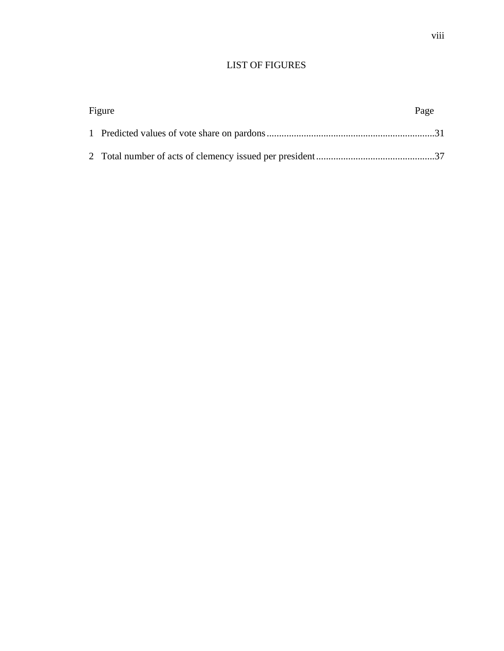## LIST OF FIGURES

| Figure |  | Page |
|--------|--|------|
|        |  |      |
|        |  |      |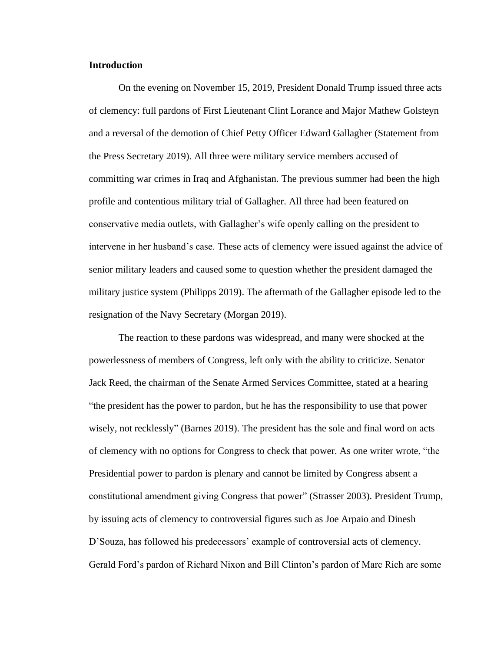### **Introduction**

On the evening on November 15, 2019, President Donald Trump issued three acts of clemency: full pardons of First Lieutenant Clint Lorance and Major Mathew Golsteyn and a reversal of the demotion of Chief Petty Officer Edward Gallagher (Statement from the Press Secretary 2019). All three were military service members accused of committing war crimes in Iraq and Afghanistan. The previous summer had been the high profile and contentious military trial of Gallagher. All three had been featured on conservative media outlets, with Gallagher's wife openly calling on the president to intervene in her husband's case. These acts of clemency were issued against the advice of senior military leaders and caused some to question whether the president damaged the military justice system (Philipps 2019). The aftermath of the Gallagher episode led to the resignation of the Navy Secretary (Morgan 2019).

The reaction to these pardons was widespread, and many were shocked at the powerlessness of members of Congress, left only with the ability to criticize. Senator Jack Reed, the chairman of the Senate Armed Services Committee, stated at a hearing "the president has the power to pardon, but he has the responsibility to use that power wisely, not recklessly" (Barnes 2019). The president has the sole and final word on acts of clemency with no options for Congress to check that power. As one writer wrote, "the Presidential power to pardon is plenary and cannot be limited by Congress absent a constitutional amendment giving Congress that power" (Strasser 2003). President Trump, by issuing acts of clemency to controversial figures such as Joe Arpaio and Dinesh D'Souza, has followed his predecessors' example of controversial acts of clemency. Gerald Ford's pardon of Richard Nixon and Bill Clinton's pardon of Marc Rich are some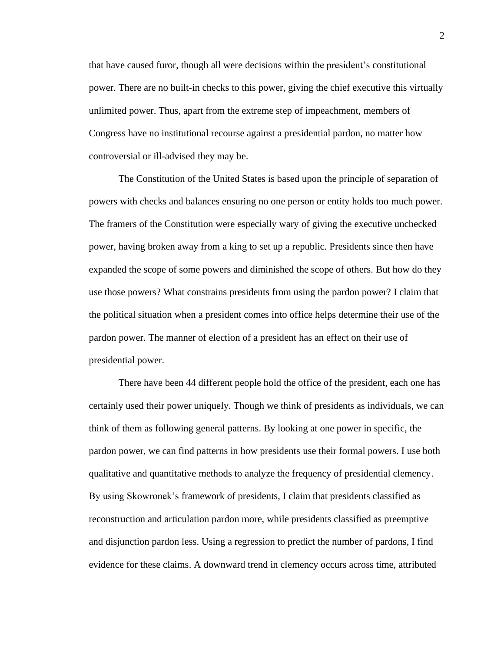that have caused furor, though all were decisions within the president's constitutional power. There are no built-in checks to this power, giving the chief executive this virtually unlimited power. Thus, apart from the extreme step of impeachment, members of Congress have no institutional recourse against a presidential pardon, no matter how controversial or ill-advised they may be.

The Constitution of the United States is based upon the principle of separation of powers with checks and balances ensuring no one person or entity holds too much power. The framers of the Constitution were especially wary of giving the executive unchecked power, having broken away from a king to set up a republic. Presidents since then have expanded the scope of some powers and diminished the scope of others. But how do they use those powers? What constrains presidents from using the pardon power? I claim that the political situation when a president comes into office helps determine their use of the pardon power. The manner of election of a president has an effect on their use of presidential power.

There have been 44 different people hold the office of the president, each one has certainly used their power uniquely. Though we think of presidents as individuals, we can think of them as following general patterns. By looking at one power in specific, the pardon power, we can find patterns in how presidents use their formal powers. I use both qualitative and quantitative methods to analyze the frequency of presidential clemency. By using Skowronek's framework of presidents, I claim that presidents classified as reconstruction and articulation pardon more, while presidents classified as preemptive and disjunction pardon less. Using a regression to predict the number of pardons, I find evidence for these claims. A downward trend in clemency occurs across time, attributed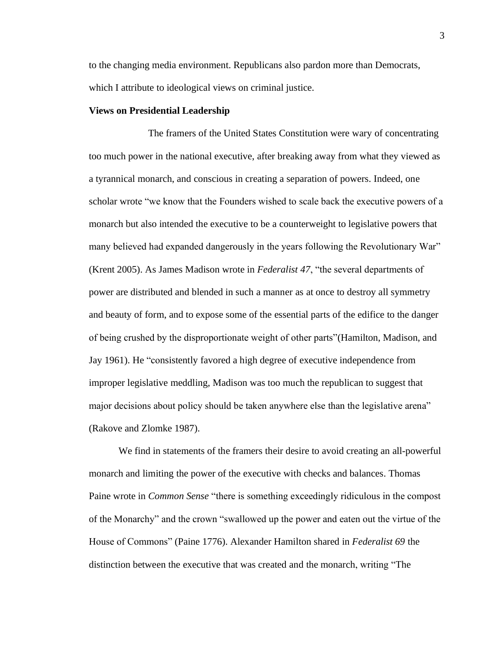to the changing media environment. Republicans also pardon more than Democrats, which I attribute to ideological views on criminal justice.

#### **Views on Presidential Leadership**

The framers of the United States Constitution were wary of concentrating too much power in the national executive, after breaking away from what they viewed as a tyrannical monarch, and conscious in creating a separation of powers. Indeed, one scholar wrote "we know that the Founders wished to scale back the executive powers of a monarch but also intended the executive to be a counterweight to legislative powers that many believed had expanded dangerously in the years following the Revolutionary War" (Krent 2005). As James Madison wrote in *Federalist 47*, "the several departments of power are distributed and blended in such a manner as at once to destroy all symmetry and beauty of form, and to expose some of the essential parts of the edifice to the danger of being crushed by the disproportionate weight of other parts"(Hamilton, Madison, and Jay 1961). He "consistently favored a high degree of executive independence from improper legislative meddling, Madison was too much the republican to suggest that major decisions about policy should be taken anywhere else than the legislative arena" (Rakove and Zlomke 1987).

We find in statements of the framers their desire to avoid creating an all-powerful monarch and limiting the power of the executive with checks and balances. Thomas Paine wrote in *Common Sense* "there is something exceedingly ridiculous in the compost of the Monarchy" and the crown "swallowed up the power and eaten out the virtue of the House of Commons" (Paine 1776). Alexander Hamilton shared in *Federalist 69* the distinction between the executive that was created and the monarch, writing "The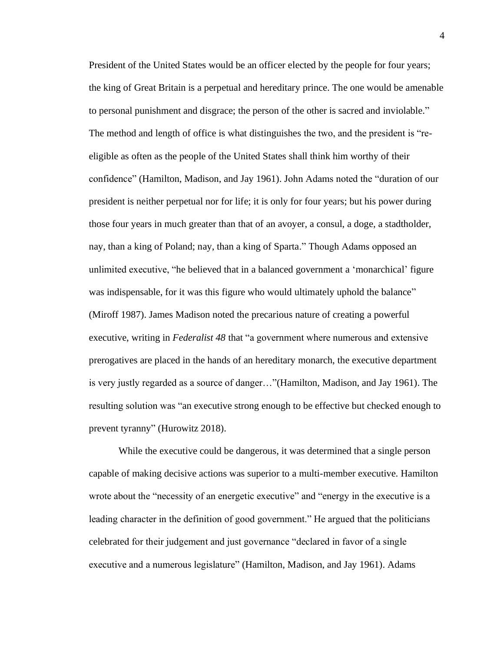President of the United States would be an officer elected by the people for four years; the king of Great Britain is a perpetual and hereditary prince. The one would be amenable to personal punishment and disgrace; the person of the other is sacred and inviolable." The method and length of office is what distinguishes the two, and the president is "reeligible as often as the people of the United States shall think him worthy of their confidence" (Hamilton, Madison, and Jay 1961). John Adams noted the "duration of our president is neither perpetual nor for life; it is only for four years; but his power during those four years in much greater than that of an avoyer, a consul, a doge, a stadtholder, nay, than a king of Poland; nay, than a king of Sparta." Though Adams opposed an unlimited executive, "he believed that in a balanced government a 'monarchical' figure was indispensable, for it was this figure who would ultimately uphold the balance" (Miroff 1987). James Madison noted the precarious nature of creating a powerful executive, writing in *Federalist 48* that "a government where numerous and extensive prerogatives are placed in the hands of an hereditary monarch, the executive department is very justly regarded as a source of danger…"(Hamilton, Madison, and Jay 1961). The resulting solution was "an executive strong enough to be effective but checked enough to prevent tyranny" (Hurowitz 2018).

While the executive could be dangerous, it was determined that a single person capable of making decisive actions was superior to a multi-member executive. Hamilton wrote about the "necessity of an energetic executive" and "energy in the executive is a leading character in the definition of good government." He argued that the politicians celebrated for their judgement and just governance "declared in favor of a single executive and a numerous legislature" (Hamilton, Madison, and Jay 1961). Adams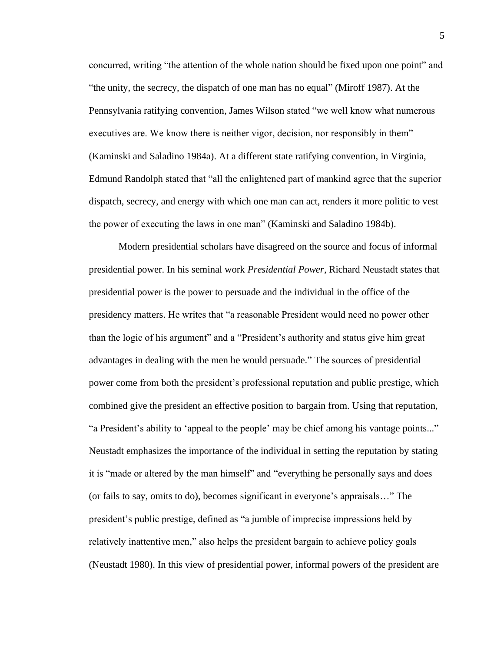concurred, writing "the attention of the whole nation should be fixed upon one point" and "the unity, the secrecy, the dispatch of one man has no equal" (Miroff 1987). At the Pennsylvania ratifying convention, James Wilson stated "we well know what numerous executives are. We know there is neither vigor, decision, nor responsibly in them" (Kaminski and Saladino 1984a). At a different state ratifying convention, in Virginia, Edmund Randolph stated that "all the enlightened part of mankind agree that the superior dispatch, secrecy, and energy with which one man can act, renders it more politic to vest the power of executing the laws in one man" (Kaminski and Saladino 1984b).

Modern presidential scholars have disagreed on the source and focus of informal presidential power. In his seminal work *Presidential Power*, Richard Neustadt states that presidential power is the power to persuade and the individual in the office of the presidency matters. He writes that "a reasonable President would need no power other than the logic of his argument" and a "President's authority and status give him great advantages in dealing with the men he would persuade." The sources of presidential power come from both the president's professional reputation and public prestige, which combined give the president an effective position to bargain from. Using that reputation, "a President's ability to 'appeal to the people' may be chief among his vantage points..." Neustadt emphasizes the importance of the individual in setting the reputation by stating it is "made or altered by the man himself" and "everything he personally says and does (or fails to say, omits to do), becomes significant in everyone's appraisals…" The president's public prestige, defined as "a jumble of imprecise impressions held by relatively inattentive men," also helps the president bargain to achieve policy goals (Neustadt 1980). In this view of presidential power, informal powers of the president are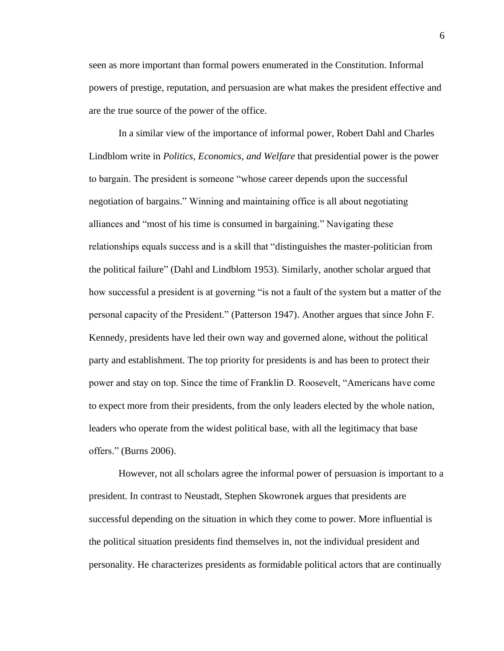seen as more important than formal powers enumerated in the Constitution. Informal powers of prestige, reputation, and persuasion are what makes the president effective and are the true source of the power of the office.

In a similar view of the importance of informal power, Robert Dahl and Charles Lindblom write in *Politics, Economics, and Welfare* that presidential power is the power to bargain. The president is someone "whose career depends upon the successful negotiation of bargains." Winning and maintaining office is all about negotiating alliances and "most of his time is consumed in bargaining." Navigating these relationships equals success and is a skill that "distinguishes the master-politician from the political failure" (Dahl and Lindblom 1953). Similarly, another scholar argued that how successful a president is at governing "is not a fault of the system but a matter of the personal capacity of the President." (Patterson 1947). Another argues that since John F. Kennedy, presidents have led their own way and governed alone, without the political party and establishment. The top priority for presidents is and has been to protect their power and stay on top. Since the time of Franklin D. Roosevelt, "Americans have come to expect more from their presidents, from the only leaders elected by the whole nation, leaders who operate from the widest political base, with all the legitimacy that base offers." (Burns 2006).

However, not all scholars agree the informal power of persuasion is important to a president. In contrast to Neustadt, Stephen Skowronek argues that presidents are successful depending on the situation in which they come to power. More influential is the political situation presidents find themselves in, not the individual president and personality. He characterizes presidents as formidable political actors that are continually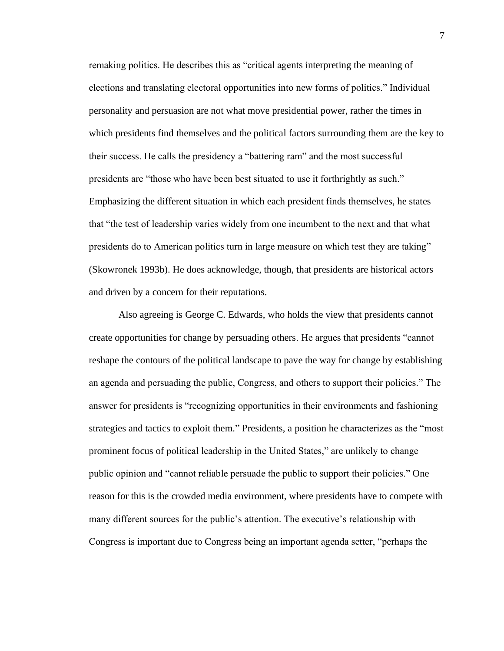remaking politics. He describes this as "critical agents interpreting the meaning of elections and translating electoral opportunities into new forms of politics." Individual personality and persuasion are not what move presidential power, rather the times in which presidents find themselves and the political factors surrounding them are the key to their success. He calls the presidency a "battering ram" and the most successful presidents are "those who have been best situated to use it forthrightly as such." Emphasizing the different situation in which each president finds themselves, he states that "the test of leadership varies widely from one incumbent to the next and that what presidents do to American politics turn in large measure on which test they are taking" (Skowronek 1993b). He does acknowledge, though, that presidents are historical actors and driven by a concern for their reputations.

Also agreeing is George C. Edwards, who holds the view that presidents cannot create opportunities for change by persuading others. He argues that presidents "cannot reshape the contours of the political landscape to pave the way for change by establishing an agenda and persuading the public, Congress, and others to support their policies." The answer for presidents is "recognizing opportunities in their environments and fashioning strategies and tactics to exploit them." Presidents, a position he characterizes as the "most prominent focus of political leadership in the United States," are unlikely to change public opinion and "cannot reliable persuade the public to support their policies." One reason for this is the crowded media environment, where presidents have to compete with many different sources for the public's attention. The executive's relationship with Congress is important due to Congress being an important agenda setter, "perhaps the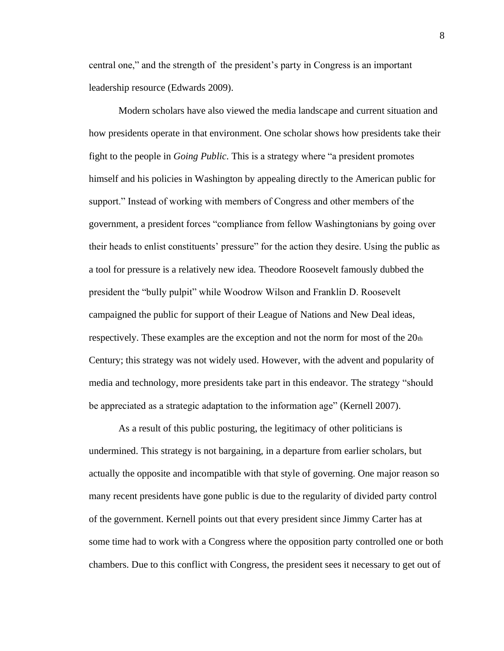central one," and the strength of the president's party in Congress is an important leadership resource (Edwards 2009).

Modern scholars have also viewed the media landscape and current situation and how presidents operate in that environment. One scholar shows how presidents take their fight to the people in *Going Public*. This is a strategy where "a president promotes himself and his policies in Washington by appealing directly to the American public for support." Instead of working with members of Congress and other members of the government, a president forces "compliance from fellow Washingtonians by going over their heads to enlist constituents' pressure" for the action they desire. Using the public as a tool for pressure is a relatively new idea. Theodore Roosevelt famously dubbed the president the "bully pulpit" while Woodrow Wilson and Franklin D. Roosevelt campaigned the public for support of their League of Nations and New Deal ideas, respectively. These examples are the exception and not the norm for most of the 20th Century; this strategy was not widely used. However, with the advent and popularity of media and technology, more presidents take part in this endeavor. The strategy "should be appreciated as a strategic adaptation to the information age" (Kernell 2007).

As a result of this public posturing, the legitimacy of other politicians is undermined. This strategy is not bargaining, in a departure from earlier scholars, but actually the opposite and incompatible with that style of governing. One major reason so many recent presidents have gone public is due to the regularity of divided party control of the government. Kernell points out that every president since Jimmy Carter has at some time had to work with a Congress where the opposition party controlled one or both chambers. Due to this conflict with Congress, the president sees it necessary to get out of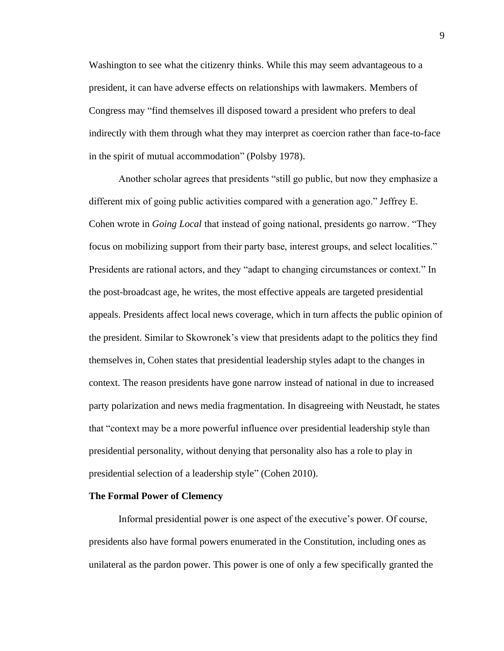Washington to see what the citizenry thinks. While this may seem advantageous to a president, it can have adverse effects on relationships with lawmakers. Members of Congress may "find themselves ill disposed toward a president who prefers to deal indirectly with them through what they may interpret as coercion rather than face-to-face in the spirit of mutual accommodation" (Polsby 1978).

Another scholar agrees that presidents "still go public, but now they emphasize a different mix of going public activities compared with a generation ago." Jeffrey E. Cohen wrote in *Going Local* that instead of going national, presidents go narrow. "They focus on mobilizing support from their party base, interest groups, and select localities." Presidents are rational actors, and they "adapt to changing circumstances or context." In the post-broadcast age, he writes, the most effective appeals are targeted presidential appeals. Presidents affect local news coverage, which in turn affects the public opinion of the president. Similar to Skowronek's view that presidents adapt to the politics they find themselves in, Cohen states that presidential leadership styles adapt to the changes in context. The reason presidents have gone narrow instead of national in due to increased party polarization and news media fragmentation. In disagreeing with Neustadt, he states that "context may be a more powerful influence over presidential leadership style than presidential personality, without denying that personality also has a role to play in presidential selection of a leadership style" (Cohen 2010).

#### **The Formal Power of Clemency**

Informal presidential power is one aspect of the executive's power. Of course, presidents also have formal powers enumerated in the Constitution, including ones as unilateral as the pardon power. This power is one of only a few specifically granted the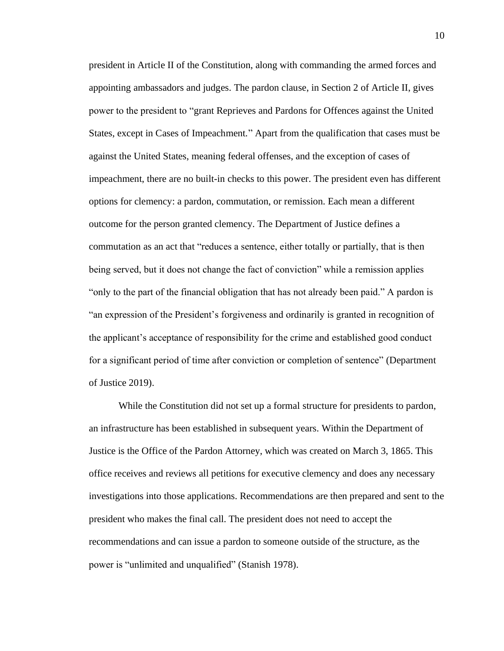president in Article II of the Constitution, along with commanding the armed forces and appointing ambassadors and judges. The pardon clause, in Section 2 of Article II, gives power to the president to "grant Reprieves and Pardons for Offences against the United States, except in Cases of Impeachment." Apart from the qualification that cases must be against the United States, meaning federal offenses, and the exception of cases of impeachment, there are no built-in checks to this power. The president even has different options for clemency: a pardon, commutation, or remission. Each mean a different outcome for the person granted clemency. The Department of Justice defines a commutation as an act that "reduces a sentence, either totally or partially, that is then being served, but it does not change the fact of conviction" while a remission applies "only to the part of the financial obligation that has not already been paid." A pardon is "an expression of the President's forgiveness and ordinarily is granted in recognition of the applicant's acceptance of responsibility for the crime and established good conduct for a significant period of time after conviction or completion of sentence" (Department of Justice 2019).

While the Constitution did not set up a formal structure for presidents to pardon, an infrastructure has been established in subsequent years. Within the Department of Justice is the Office of the Pardon Attorney, which was created on March 3, 1865. This office receives and reviews all petitions for executive clemency and does any necessary investigations into those applications. Recommendations are then prepared and sent to the president who makes the final call. The president does not need to accept the recommendations and can issue a pardon to someone outside of the structure, as the power is "unlimited and unqualified" (Stanish 1978).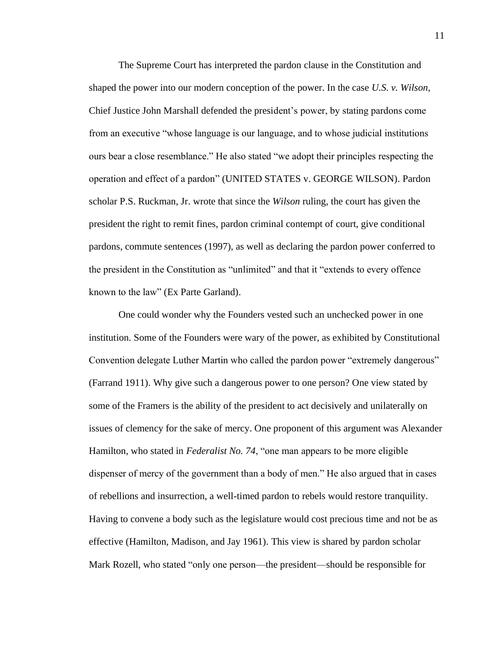The Supreme Court has interpreted the pardon clause in the Constitution and shaped the power into our modern conception of the power. In the case *U.S. v. Wilson*, Chief Justice John Marshall defended the president's power, by stating pardons come from an executive "whose language is our language, and to whose judicial institutions ours bear a close resemblance." He also stated "we adopt their principles respecting the operation and effect of a pardon" (UNITED STATES v. GEORGE WILSON). Pardon scholar P.S. Ruckman, Jr. wrote that since the *Wilson* ruling, the court has given the president the right to remit fines, pardon criminal contempt of court, give conditional pardons, commute sentences (1997), as well as declaring the pardon power conferred to the president in the Constitution as "unlimited" and that it "extends to every offence known to the law" (Ex Parte Garland).

One could wonder why the Founders vested such an unchecked power in one institution. Some of the Founders were wary of the power, as exhibited by Constitutional Convention delegate Luther Martin who called the pardon power "extremely dangerous" (Farrand 1911). Why give such a dangerous power to one person? One view stated by some of the Framers is the ability of the president to act decisively and unilaterally on issues of clemency for the sake of mercy. One proponent of this argument was Alexander Hamilton, who stated in *Federalist No. 74*, "one man appears to be more eligible dispenser of mercy of the government than a body of men." He also argued that in cases of rebellions and insurrection, a well-timed pardon to rebels would restore tranquility. Having to convene a body such as the legislature would cost precious time and not be as effective (Hamilton, Madison, and Jay 1961). This view is shared by pardon scholar Mark Rozell, who stated "only one person—the president—should be responsible for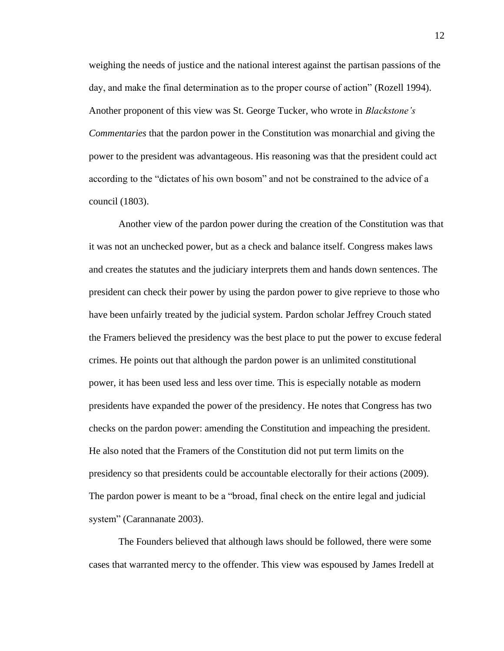weighing the needs of justice and the national interest against the partisan passions of the day, and make the final determination as to the proper course of action" (Rozell 1994). Another proponent of this view was St. George Tucker, who wrote in *Blackstone's Commentaries* that the pardon power in the Constitution was monarchial and giving the power to the president was advantageous. His reasoning was that the president could act according to the "dictates of his own bosom" and not be constrained to the advice of a council (1803).

Another view of the pardon power during the creation of the Constitution was that it was not an unchecked power, but as a check and balance itself. Congress makes laws and creates the statutes and the judiciary interprets them and hands down sentences. The president can check their power by using the pardon power to give reprieve to those who have been unfairly treated by the judicial system. Pardon scholar Jeffrey Crouch stated the Framers believed the presidency was the best place to put the power to excuse federal crimes. He points out that although the pardon power is an unlimited constitutional power, it has been used less and less over time. This is especially notable as modern presidents have expanded the power of the presidency. He notes that Congress has two checks on the pardon power: amending the Constitution and impeaching the president. He also noted that the Framers of the Constitution did not put term limits on the presidency so that presidents could be accountable electorally for their actions (2009). The pardon power is meant to be a "broad, final check on the entire legal and judicial system" (Carannanate 2003).

The Founders believed that although laws should be followed, there were some cases that warranted mercy to the offender. This view was espoused by James Iredell at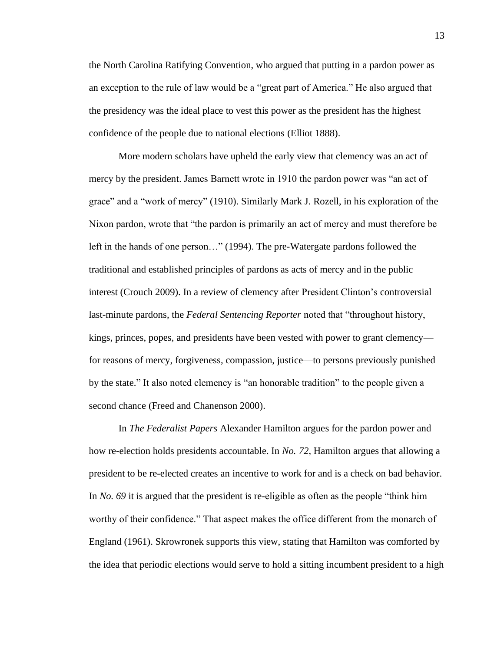the North Carolina Ratifying Convention, who argued that putting in a pardon power as an exception to the rule of law would be a "great part of America." He also argued that the presidency was the ideal place to vest this power as the president has the highest confidence of the people due to national elections (Elliot 1888).

More modern scholars have upheld the early view that clemency was an act of mercy by the president. James Barnett wrote in 1910 the pardon power was "an act of grace" and a "work of mercy" (1910). Similarly Mark J. Rozell, in his exploration of the Nixon pardon, wrote that "the pardon is primarily an act of mercy and must therefore be left in the hands of one person…" (1994). The pre-Watergate pardons followed the traditional and established principles of pardons as acts of mercy and in the public interest (Crouch 2009). In a review of clemency after President Clinton's controversial last-minute pardons, the *Federal Sentencing Reporter* noted that "throughout history, kings, princes, popes, and presidents have been vested with power to grant clemency for reasons of mercy, forgiveness, compassion, justice—to persons previously punished by the state." It also noted clemency is "an honorable tradition" to the people given a second chance (Freed and Chanenson 2000).

In *The Federalist Papers* Alexander Hamilton argues for the pardon power and how re-election holds presidents accountable. In *No. 72*, Hamilton argues that allowing a president to be re-elected creates an incentive to work for and is a check on bad behavior. In *No. 69* it is argued that the president is re-eligible as often as the people "think him worthy of their confidence." That aspect makes the office different from the monarch of England (1961). Skrowronek supports this view, stating that Hamilton was comforted by the idea that periodic elections would serve to hold a sitting incumbent president to a high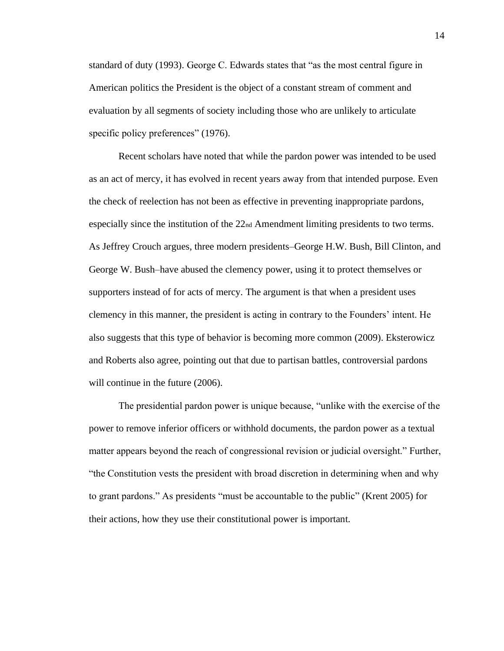standard of duty (1993). George C. Edwards states that "as the most central figure in American politics the President is the object of a constant stream of comment and evaluation by all segments of society including those who are unlikely to articulate specific policy preferences" (1976).

Recent scholars have noted that while the pardon power was intended to be used as an act of mercy, it has evolved in recent years away from that intended purpose. Even the check of reelection has not been as effective in preventing inappropriate pardons, especially since the institution of the  $22<sub>nd</sub>$  Amendment limiting presidents to two terms. As Jeffrey Crouch argues, three modern presidents–George H.W. Bush, Bill Clinton, and George W. Bush–have abused the clemency power, using it to protect themselves or supporters instead of for acts of mercy. The argument is that when a president uses clemency in this manner, the president is acting in contrary to the Founders' intent. He also suggests that this type of behavior is becoming more common (2009). Eksterowicz and Roberts also agree, pointing out that due to partisan battles, controversial pardons will continue in the future  $(2006)$ .

The presidential pardon power is unique because, "unlike with the exercise of the power to remove inferior officers or withhold documents, the pardon power as a textual matter appears beyond the reach of congressional revision or judicial oversight." Further, "the Constitution vests the president with broad discretion in determining when and why to grant pardons." As presidents "must be accountable to the public" (Krent 2005) for their actions, how they use their constitutional power is important.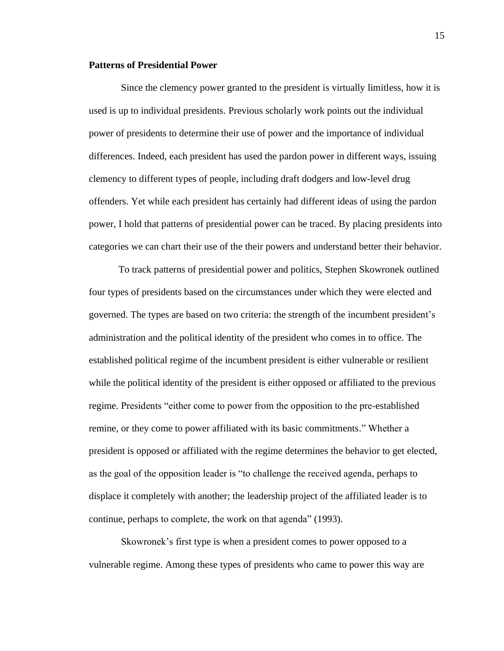### **Patterns of Presidential Power**

Since the clemency power granted to the president is virtually limitless, how it is used is up to individual presidents. Previous scholarly work points out the individual power of presidents to determine their use of power and the importance of individual differences. Indeed, each president has used the pardon power in different ways, issuing clemency to different types of people, including draft dodgers and low-level drug offenders. Yet while each president has certainly had different ideas of using the pardon power, I hold that patterns of presidential power can be traced. By placing presidents into categories we can chart their use of the their powers and understand better their behavior.

To track patterns of presidential power and politics, Stephen Skowronek outlined four types of presidents based on the circumstances under which they were elected and governed. The types are based on two criteria: the strength of the incumbent president's administration and the political identity of the president who comes in to office. The established political regime of the incumbent president is either vulnerable or resilient while the political identity of the president is either opposed or affiliated to the previous regime. Presidents "either come to power from the opposition to the pre-established remine, or they come to power affiliated with its basic commitments." Whether a president is opposed or affiliated with the regime determines the behavior to get elected, as the goal of the opposition leader is "to challenge the received agenda, perhaps to displace it completely with another; the leadership project of the affiliated leader is to continue, perhaps to complete, the work on that agenda" (1993).

Skowronek's first type is when a president comes to power opposed to a vulnerable regime. Among these types of presidents who came to power this way are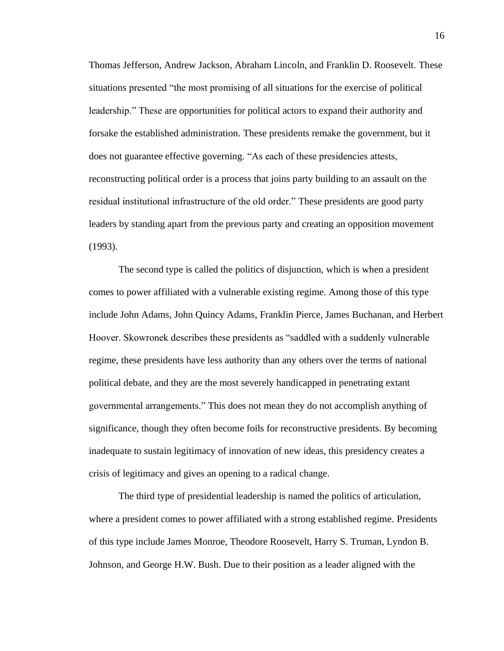Thomas Jefferson, Andrew Jackson, Abraham Lincoln, and Franklin D. Roosevelt. These situations presented "the most promising of all situations for the exercise of political leadership." These are opportunities for political actors to expand their authority and forsake the established administration. These presidents remake the government, but it does not guarantee effective governing. "As each of these presidencies attests, reconstructing political order is a process that joins party building to an assault on the residual institutional infrastructure of the old order." These presidents are good party leaders by standing apart from the previous party and creating an opposition movement (1993).

The second type is called the politics of disjunction, which is when a president comes to power affiliated with a vulnerable existing regime. Among those of this type include John Adams, John Quincy Adams, Franklin Pierce, James Buchanan, and Herbert Hoover. Skowronek describes these presidents as "saddled with a suddenly vulnerable regime, these presidents have less authority than any others over the terms of national political debate, and they are the most severely handicapped in penetrating extant governmental arrangements." This does not mean they do not accomplish anything of significance, though they often become foils for reconstructive presidents. By becoming inadequate to sustain legitimacy of innovation of new ideas, this presidency creates a crisis of legitimacy and gives an opening to a radical change.

The third type of presidential leadership is named the politics of articulation, where a president comes to power affiliated with a strong established regime. Presidents of this type include James Monroe, Theodore Roosevelt, Harry S. Truman, Lyndon B. Johnson, and George H.W. Bush. Due to their position as a leader aligned with the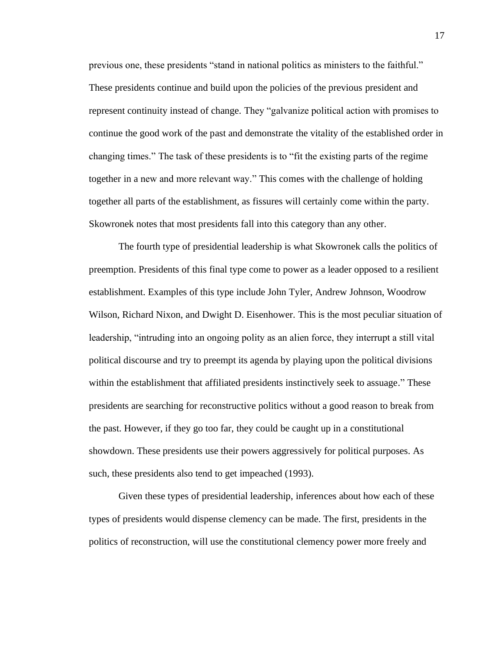previous one, these presidents "stand in national politics as ministers to the faithful." These presidents continue and build upon the policies of the previous president and represent continuity instead of change. They "galvanize political action with promises to continue the good work of the past and demonstrate the vitality of the established order in changing times." The task of these presidents is to "fit the existing parts of the regime together in a new and more relevant way." This comes with the challenge of holding together all parts of the establishment, as fissures will certainly come within the party. Skowronek notes that most presidents fall into this category than any other.

The fourth type of presidential leadership is what Skowronek calls the politics of preemption. Presidents of this final type come to power as a leader opposed to a resilient establishment. Examples of this type include John Tyler, Andrew Johnson, Woodrow Wilson, Richard Nixon, and Dwight D. Eisenhower. This is the most peculiar situation of leadership, "intruding into an ongoing polity as an alien force, they interrupt a still vital political discourse and try to preempt its agenda by playing upon the political divisions within the establishment that affiliated presidents instinctively seek to assuage." These presidents are searching for reconstructive politics without a good reason to break from the past. However, if they go too far, they could be caught up in a constitutional showdown. These presidents use their powers aggressively for political purposes. As such, these presidents also tend to get impeached (1993).

Given these types of presidential leadership, inferences about how each of these types of presidents would dispense clemency can be made. The first, presidents in the politics of reconstruction, will use the constitutional clemency power more freely and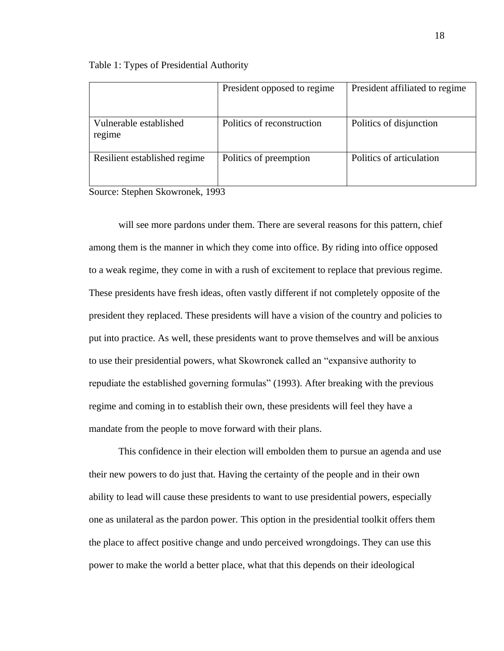|                                  | President opposed to regime | President affiliated to regime |
|----------------------------------|-----------------------------|--------------------------------|
| Vulnerable established<br>regime | Politics of reconstruction  | Politics of disjunction        |
| Resilient established regime     | Politics of preemption      | Politics of articulation       |

Table 1: Types of Presidential Authority

Source: Stephen Skowronek, 1993

will see more pardons under them. There are several reasons for this pattern, chief among them is the manner in which they come into office. By riding into office opposed to a weak regime, they come in with a rush of excitement to replace that previous regime. These presidents have fresh ideas, often vastly different if not completely opposite of the president they replaced. These presidents will have a vision of the country and policies to put into practice. As well, these presidents want to prove themselves and will be anxious to use their presidential powers, what Skowronek called an "expansive authority to repudiate the established governing formulas" (1993). After breaking with the previous regime and coming in to establish their own, these presidents will feel they have a mandate from the people to move forward with their plans.

This confidence in their election will embolden them to pursue an agenda and use their new powers to do just that. Having the certainty of the people and in their own ability to lead will cause these presidents to want to use presidential powers, especially one as unilateral as the pardon power. This option in the presidential toolkit offers them the place to affect positive change and undo perceived wrongdoings. They can use this power to make the world a better place, what that this depends on their ideological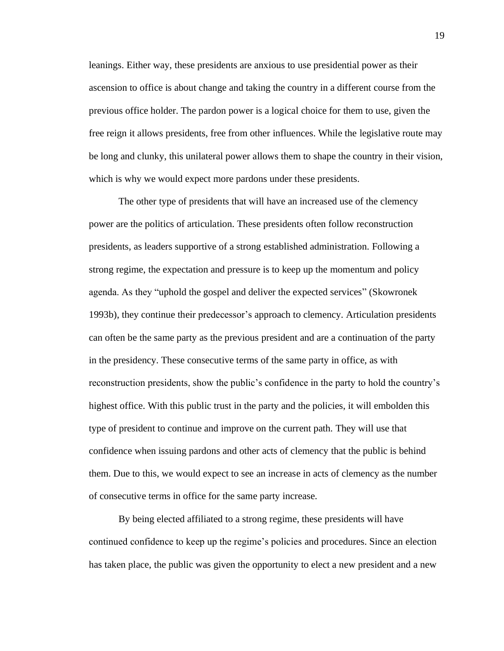leanings. Either way, these presidents are anxious to use presidential power as their ascension to office is about change and taking the country in a different course from the previous office holder. The pardon power is a logical choice for them to use, given the free reign it allows presidents, free from other influences. While the legislative route may be long and clunky, this unilateral power allows them to shape the country in their vision, which is why we would expect more pardons under these presidents.

The other type of presidents that will have an increased use of the clemency power are the politics of articulation. These presidents often follow reconstruction presidents, as leaders supportive of a strong established administration. Following a strong regime, the expectation and pressure is to keep up the momentum and policy agenda. As they "uphold the gospel and deliver the expected services" (Skowronek 1993b), they continue their predecessor's approach to clemency. Articulation presidents can often be the same party as the previous president and are a continuation of the party in the presidency. These consecutive terms of the same party in office, as with reconstruction presidents, show the public's confidence in the party to hold the country's highest office. With this public trust in the party and the policies, it will embolden this type of president to continue and improve on the current path. They will use that confidence when issuing pardons and other acts of clemency that the public is behind them. Due to this, we would expect to see an increase in acts of clemency as the number of consecutive terms in office for the same party increase.

By being elected affiliated to a strong regime, these presidents will have continued confidence to keep up the regime's policies and procedures. Since an election has taken place, the public was given the opportunity to elect a new president and a new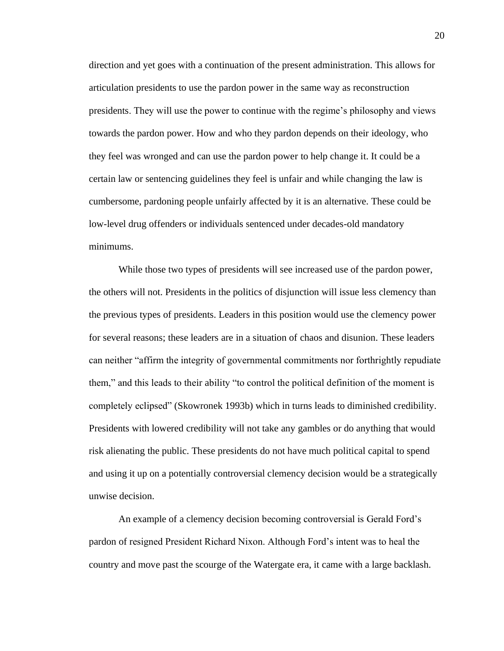direction and yet goes with a continuation of the present administration. This allows for articulation presidents to use the pardon power in the same way as reconstruction presidents. They will use the power to continue with the regime's philosophy and views towards the pardon power. How and who they pardon depends on their ideology, who they feel was wronged and can use the pardon power to help change it. It could be a certain law or sentencing guidelines they feel is unfair and while changing the law is cumbersome, pardoning people unfairly affected by it is an alternative. These could be low-level drug offenders or individuals sentenced under decades-old mandatory minimums.

While those two types of presidents will see increased use of the pardon power, the others will not. Presidents in the politics of disjunction will issue less clemency than the previous types of presidents. Leaders in this position would use the clemency power for several reasons; these leaders are in a situation of chaos and disunion. These leaders can neither "affirm the integrity of governmental commitments nor forthrightly repudiate them," and this leads to their ability "to control the political definition of the moment is completely eclipsed" (Skowronek 1993b) which in turns leads to diminished credibility. Presidents with lowered credibility will not take any gambles or do anything that would risk alienating the public. These presidents do not have much political capital to spend and using it up on a potentially controversial clemency decision would be a strategically unwise decision.

An example of a clemency decision becoming controversial is Gerald Ford's pardon of resigned President Richard Nixon. Although Ford's intent was to heal the country and move past the scourge of the Watergate era, it came with a large backlash.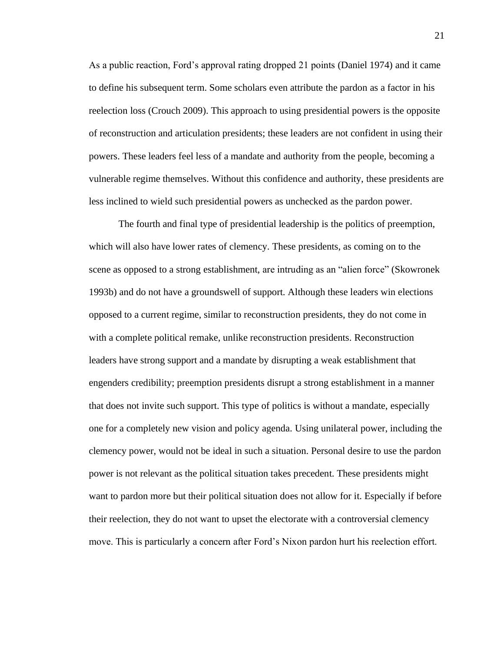As a public reaction, Ford's approval rating dropped 21 points (Daniel 1974) and it came to define his subsequent term. Some scholars even attribute the pardon as a factor in his reelection loss (Crouch 2009). This approach to using presidential powers is the opposite of reconstruction and articulation presidents; these leaders are not confident in using their powers. These leaders feel less of a mandate and authority from the people, becoming a vulnerable regime themselves. Without this confidence and authority, these presidents are less inclined to wield such presidential powers as unchecked as the pardon power.

The fourth and final type of presidential leadership is the politics of preemption, which will also have lower rates of clemency. These presidents, as coming on to the scene as opposed to a strong establishment, are intruding as an "alien force" (Skowronek 1993b) and do not have a groundswell of support. Although these leaders win elections opposed to a current regime, similar to reconstruction presidents, they do not come in with a complete political remake, unlike reconstruction presidents. Reconstruction leaders have strong support and a mandate by disrupting a weak establishment that engenders credibility; preemption presidents disrupt a strong establishment in a manner that does not invite such support. This type of politics is without a mandate, especially one for a completely new vision and policy agenda. Using unilateral power, including the clemency power, would not be ideal in such a situation. Personal desire to use the pardon power is not relevant as the political situation takes precedent. These presidents might want to pardon more but their political situation does not allow for it. Especially if before their reelection, they do not want to upset the electorate with a controversial clemency move. This is particularly a concern after Ford's Nixon pardon hurt his reelection effort.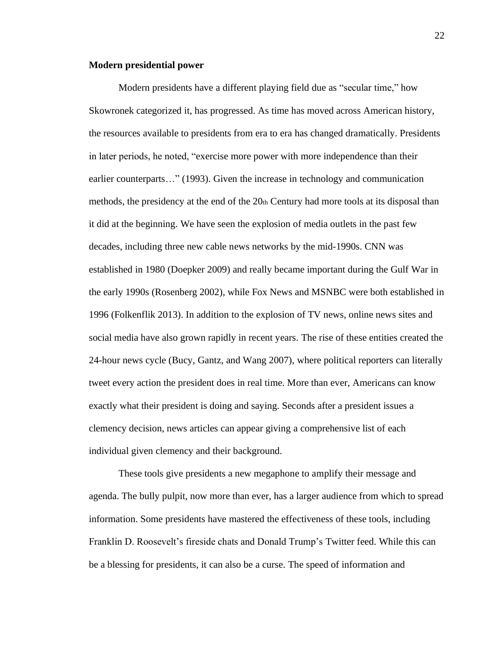#### **Modern presidential power**

Modern presidents have a different playing field due as "secular time," how Skowronek categorized it, has progressed. As time has moved across American history, the resources available to presidents from era to era has changed dramatically. Presidents in later periods, he noted, "exercise more power with more independence than their earlier counterparts…" (1993). Given the increase in technology and communication methods, the presidency at the end of the  $20<sub>th</sub>$  Century had more tools at its disposal than it did at the beginning. We have seen the explosion of media outlets in the past few decades, including three new cable news networks by the mid-1990s. CNN was established in 1980 (Doepker 2009) and really became important during the Gulf War in the early 1990s (Rosenberg 2002), while Fox News and MSNBC were both established in 1996 (Folkenflik 2013). In addition to the explosion of TV news, online news sites and social media have also grown rapidly in recent years. The rise of these entities created the 24-hour news cycle (Bucy, Gantz, and Wang 2007), where political reporters can literally tweet every action the president does in real time. More than ever, Americans can know exactly what their president is doing and saying. Seconds after a president issues a clemency decision, news articles can appear giving a comprehensive list of each individual given clemency and their background.

These tools give presidents a new megaphone to amplify their message and agenda. The bully pulpit, now more than ever, has a larger audience from which to spread information. Some presidents have mastered the effectiveness of these tools, including Franklin D. Roosevelt's fireside chats and Donald Trump's Twitter feed. While this can be a blessing for presidents, it can also be a curse. The speed of information and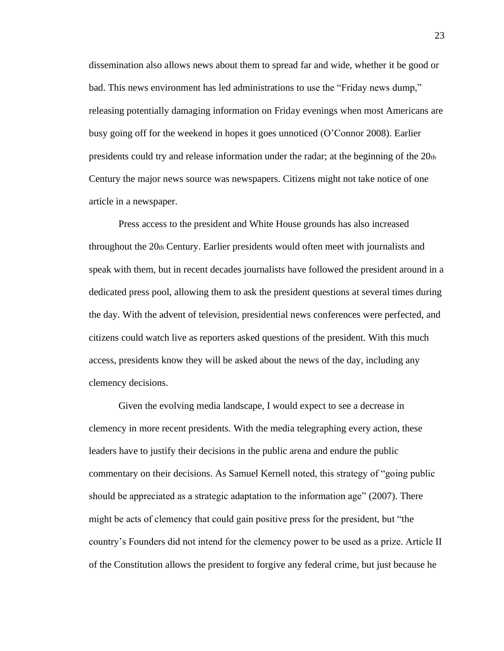dissemination also allows news about them to spread far and wide, whether it be good or bad. This news environment has led administrations to use the "Friday news dump," releasing potentially damaging information on Friday evenings when most Americans are busy going off for the weekend in hopes it goes unnoticed (O'Connor 2008). Earlier presidents could try and release information under the radar; at the beginning of the  $20<sub>th</sub>$ Century the major news source was newspapers. Citizens might not take notice of one article in a newspaper.

Press access to the president and White House grounds has also increased throughout the 20th Century. Earlier presidents would often meet with journalists and speak with them, but in recent decades journalists have followed the president around in a dedicated press pool, allowing them to ask the president questions at several times during the day. With the advent of television, presidential news conferences were perfected, and citizens could watch live as reporters asked questions of the president. With this much access, presidents know they will be asked about the news of the day, including any clemency decisions.

Given the evolving media landscape, I would expect to see a decrease in clemency in more recent presidents. With the media telegraphing every action, these leaders have to justify their decisions in the public arena and endure the public commentary on their decisions. As Samuel Kernell noted, this strategy of "going public should be appreciated as a strategic adaptation to the information age" (2007). There might be acts of clemency that could gain positive press for the president, but "the country's Founders did not intend for the clemency power to be used as a prize. Article II of the Constitution allows the president to forgive any federal crime, but just because he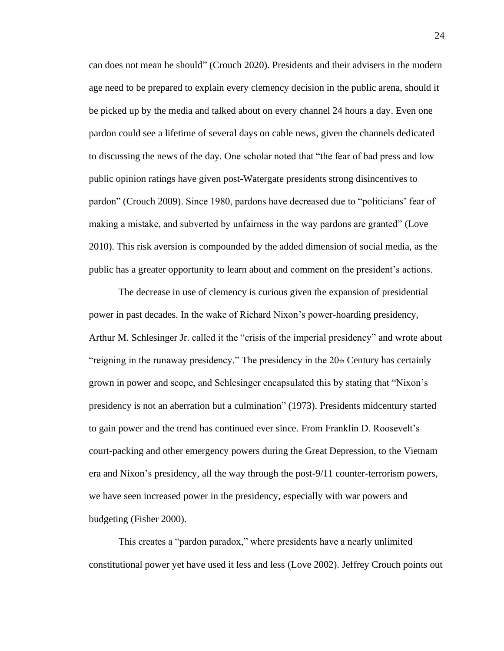can does not mean he should" (Crouch 2020). Presidents and their advisers in the modern age need to be prepared to explain every clemency decision in the public arena, should it be picked up by the media and talked about on every channel 24 hours a day. Even one pardon could see a lifetime of several days on cable news, given the channels dedicated to discussing the news of the day. One scholar noted that "the fear of bad press and low public opinion ratings have given post-Watergate presidents strong disincentives to pardon" (Crouch 2009). Since 1980, pardons have decreased due to "politicians' fear of making a mistake, and subverted by unfairness in the way pardons are granted" (Love 2010). This risk aversion is compounded by the added dimension of social media, as the public has a greater opportunity to learn about and comment on the president's actions.

The decrease in use of clemency is curious given the expansion of presidential power in past decades. In the wake of Richard Nixon's power-hoarding presidency, Arthur M. Schlesinger Jr. called it the "crisis of the imperial presidency" and wrote about "reigning in the runaway presidency." The presidency in the 20th Century has certainly grown in power and scope, and Schlesinger encapsulated this by stating that "Nixon's presidency is not an aberration but a culmination" (1973). Presidents midcentury started to gain power and the trend has continued ever since. From Franklin D. Roosevelt's court-packing and other emergency powers during the Great Depression, to the Vietnam era and Nixon's presidency, all the way through the post-9/11 counter-terrorism powers, we have seen increased power in the presidency, especially with war powers and budgeting (Fisher 2000).

This creates a "pardon paradox," where presidents have a nearly unlimited constitutional power yet have used it less and less (Love 2002). Jeffrey Crouch points out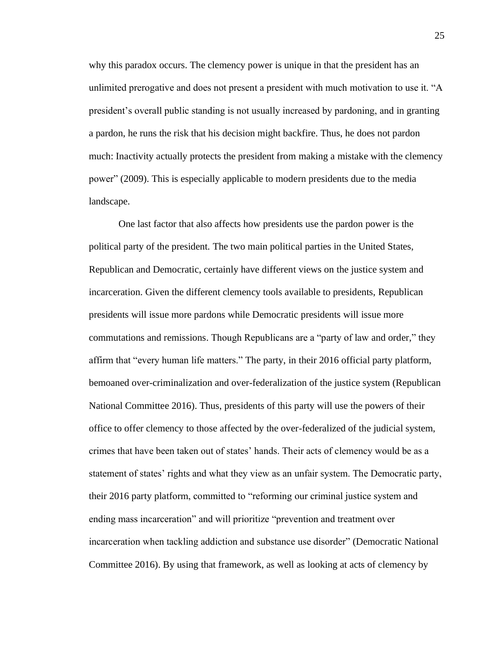why this paradox occurs. The clemency power is unique in that the president has an unlimited prerogative and does not present a president with much motivation to use it. "A president's overall public standing is not usually increased by pardoning, and in granting a pardon, he runs the risk that his decision might backfire. Thus, he does not pardon much: Inactivity actually protects the president from making a mistake with the clemency power" (2009). This is especially applicable to modern presidents due to the media landscape.

One last factor that also affects how presidents use the pardon power is the political party of the president. The two main political parties in the United States, Republican and Democratic, certainly have different views on the justice system and incarceration. Given the different clemency tools available to presidents, Republican presidents will issue more pardons while Democratic presidents will issue more commutations and remissions. Though Republicans are a "party of law and order," they affirm that "every human life matters." The party, in their 2016 official party platform, bemoaned over-criminalization and over-federalization of the justice system (Republican National Committee 2016). Thus, presidents of this party will use the powers of their office to offer clemency to those affected by the over-federalized of the judicial system, crimes that have been taken out of states' hands. Their acts of clemency would be as a statement of states' rights and what they view as an unfair system. The Democratic party, their 2016 party platform, committed to "reforming our criminal justice system and ending mass incarceration" and will prioritize "prevention and treatment over incarceration when tackling addiction and substance use disorder" (Democratic National Committee 2016). By using that framework, as well as looking at acts of clemency by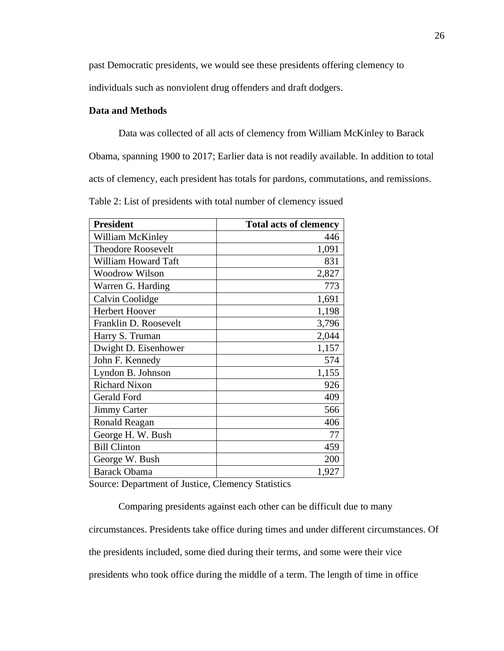past Democratic presidents, we would see these presidents offering clemency to

individuals such as nonviolent drug offenders and draft dodgers.

### **Data and Methods**

Data was collected of all acts of clemency from William McKinley to Barack

Obama, spanning 1900 to 2017; Earlier data is not readily available. In addition to total

acts of clemency, each president has totals for pardons, commutations, and remissions.

Table 2: List of presidents with total number of clemency issued

| <b>President</b>          | <b>Total acts of clemency</b> |
|---------------------------|-------------------------------|
| William McKinley          | 446                           |
| <b>Theodore Roosevelt</b> | 1,091                         |
| William Howard Taft       | 831                           |
| Woodrow Wilson            | 2,827                         |
| Warren G. Harding         | 773                           |
| Calvin Coolidge           | 1,691                         |
| Herbert Hoover            | 1,198                         |
| Franklin D. Roosevelt     | 3,796                         |
| Harry S. Truman           | 2,044                         |
| Dwight D. Eisenhower      | 1,157                         |
| John F. Kennedy           | 574                           |
| Lyndon B. Johnson         | 1,155                         |
| <b>Richard Nixon</b>      | 926                           |
| Gerald Ford               | 409                           |
| <b>Jimmy Carter</b>       | 566                           |
| Ronald Reagan             | 406                           |
| George H. W. Bush         | 77                            |
| <b>Bill Clinton</b>       | 459                           |
| George W. Bush            | 200                           |
| <b>Barack Obama</b>       | 1,927                         |

Source: Department of Justice, Clemency Statistics

Comparing presidents against each other can be difficult due to many circumstances. Presidents take office during times and under different circumstances. Of the presidents included, some died during their terms, and some were their vice presidents who took office during the middle of a term. The length of time in office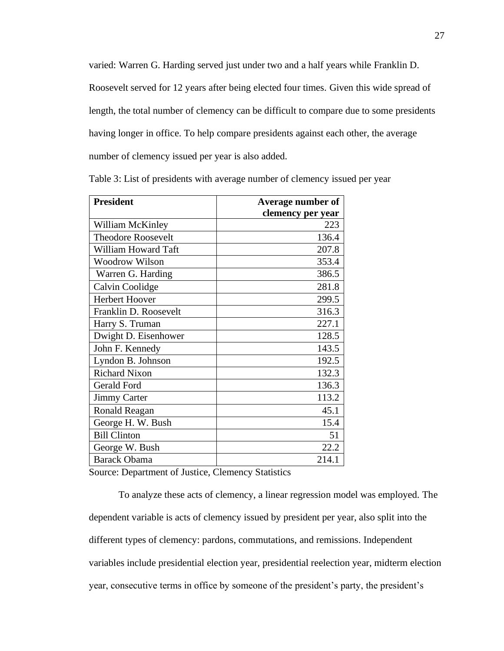varied: Warren G. Harding served just under two and a half years while Franklin D.

Roosevelt served for 12 years after being elected four times. Given this wide spread of length, the total number of clemency can be difficult to compare due to some presidents having longer in office. To help compare presidents against each other, the average number of clemency issued per year is also added.

| <b>President</b>          | Average number of |  |
|---------------------------|-------------------|--|
|                           | clemency per year |  |
| William McKinley          | 223               |  |
| <b>Theodore Roosevelt</b> | 136.4             |  |
| William Howard Taft       | 207.8             |  |
| <b>Woodrow Wilson</b>     | 353.4             |  |
| Warren G. Harding         | 386.5             |  |
| Calvin Coolidge           | 281.8             |  |
| Herbert Hoover            | 299.5             |  |
| Franklin D. Roosevelt     | 316.3             |  |
| Harry S. Truman           | 227.1             |  |
| Dwight D. Eisenhower      | 128.5             |  |
| John F. Kennedy           | 143.5             |  |
| Lyndon B. Johnson         | 192.5             |  |
| <b>Richard Nixon</b>      | 132.3             |  |
| <b>Gerald Ford</b>        | 136.3             |  |
| <b>Jimmy Carter</b>       | 113.2             |  |
| Ronald Reagan             | 45.1              |  |
| George H. W. Bush         | 15.4              |  |
| <b>Bill Clinton</b>       | 51                |  |
| George W. Bush            | 22.2              |  |
| <b>Barack Obama</b>       | 214.1             |  |

Table 3: List of presidents with average number of clemency issued per year

Source: Department of Justice, Clemency Statistics

To analyze these acts of clemency, a linear regression model was employed. The dependent variable is acts of clemency issued by president per year, also split into the different types of clemency: pardons, commutations, and remissions. Independent variables include presidential election year, presidential reelection year, midterm election year, consecutive terms in office by someone of the president's party, the president's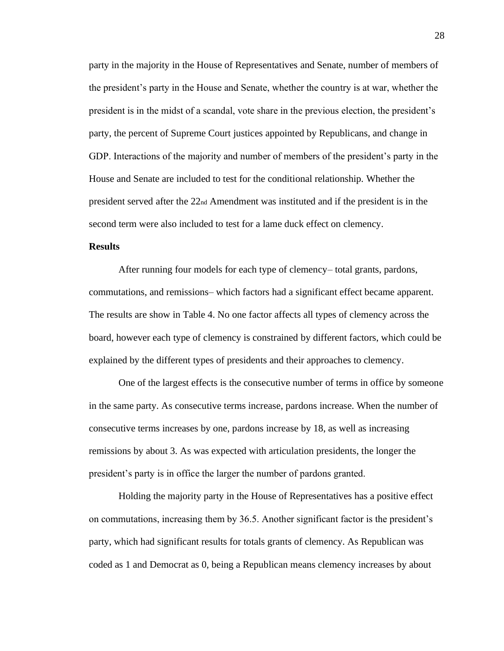party in the majority in the House of Representatives and Senate, number of members of the president's party in the House and Senate, whether the country is at war, whether the president is in the midst of a scandal, vote share in the previous election, the president's party, the percent of Supreme Court justices appointed by Republicans, and change in GDP. Interactions of the majority and number of members of the president's party in the House and Senate are included to test for the conditional relationship. Whether the president served after the 22nd Amendment was instituted and if the president is in the second term were also included to test for a lame duck effect on clemency.

### **Results**

After running four models for each type of clemency– total grants, pardons, commutations, and remissions– which factors had a significant effect became apparent. The results are show in Table 4. No one factor affects all types of clemency across the board, however each type of clemency is constrained by different factors, which could be explained by the different types of presidents and their approaches to clemency.

One of the largest effects is the consecutive number of terms in office by someone in the same party. As consecutive terms increase, pardons increase. When the number of consecutive terms increases by one, pardons increase by 18, as well as increasing remissions by about 3. As was expected with articulation presidents, the longer the president's party is in office the larger the number of pardons granted.

Holding the majority party in the House of Representatives has a positive effect on commutations, increasing them by 36.5. Another significant factor is the president's party, which had significant results for totals grants of clemency. As Republican was coded as 1 and Democrat as 0, being a Republican means clemency increases by about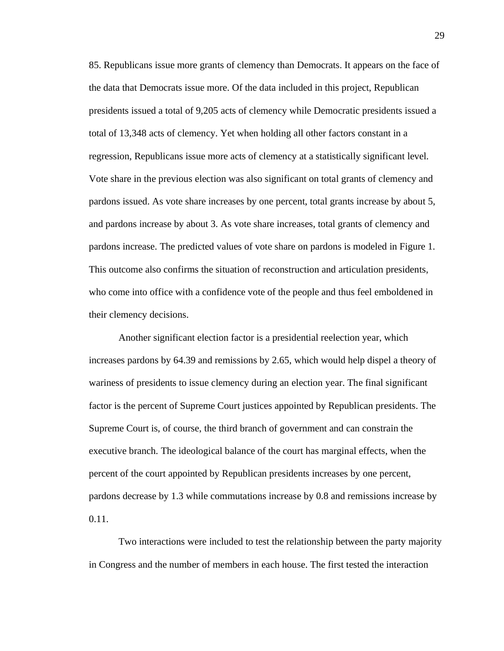85. Republicans issue more grants of clemency than Democrats. It appears on the face of the data that Democrats issue more. Of the data included in this project, Republican presidents issued a total of 9,205 acts of clemency while Democratic presidents issued a total of 13,348 acts of clemency. Yet when holding all other factors constant in a regression, Republicans issue more acts of clemency at a statistically significant level. Vote share in the previous election was also significant on total grants of clemency and pardons issued. As vote share increases by one percent, total grants increase by about 5, and pardons increase by about 3. As vote share increases, total grants of clemency and pardons increase. The predicted values of vote share on pardons is modeled in Figure 1. This outcome also confirms the situation of reconstruction and articulation presidents, who come into office with a confidence vote of the people and thus feel emboldened in their clemency decisions.

Another significant election factor is a presidential reelection year, which increases pardons by 64.39 and remissions by 2.65, which would help dispel a theory of wariness of presidents to issue clemency during an election year. The final significant factor is the percent of Supreme Court justices appointed by Republican presidents. The Supreme Court is, of course, the third branch of government and can constrain the executive branch. The ideological balance of the court has marginal effects, when the percent of the court appointed by Republican presidents increases by one percent, pardons decrease by 1.3 while commutations increase by 0.8 and remissions increase by 0.11.

Two interactions were included to test the relationship between the party majority in Congress and the number of members in each house. The first tested the interaction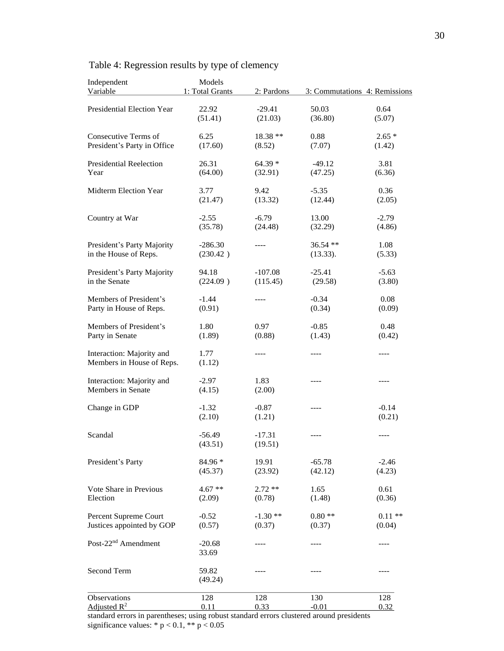| Independent<br>Variable         | Models<br>1: Total Grants | 2: Pardons          |                  | 3: Commutations 4: Remissions |
|---------------------------------|---------------------------|---------------------|------------------|-------------------------------|
|                                 |                           |                     |                  |                               |
| Presidential Election Year      | 22.92<br>(51.41)          | $-29.41$<br>(21.03) | 50.03<br>(36.80) | 0.64<br>(5.07)                |
| Consecutive Terms of            | 6.25                      | 18.38 **            | 0.88             | $2.65*$                       |
| President's Party in Office     | (17.60)                   | (8.52)              | (7.07)           | (1.42)                        |
| <b>Presidential Reelection</b>  | 26.31                     | $64.39*$            | $-49.12$         | 3.81                          |
| Year                            | (64.00)                   | (32.91)             | (47.25)          | (6.36)                        |
| Midterm Election Year           | 3.77                      | 9.42                | $-5.35$          | 0.36                          |
|                                 | (21.47)                   | (13.32)             | (12.44)          | (2.05)                        |
| Country at War                  | $-2.55$                   | $-6.79$             | 13.00            | $-2.79$                       |
|                                 | (35.78)                   | (24.48)             | (32.29)          | (4.86)                        |
| President's Party Majority      | $-286.30$                 | ----                | 36.54 **         | 1.08                          |
| in the House of Reps.           | (230.42)                  |                     | (13.33).         | (5.33)                        |
| President's Party Majority      | 94.18                     | $-107.08$           | $-25.41$         | $-5.63$                       |
| in the Senate                   | (224.09)                  | (115.45)            | (29.58)          | (3.80)                        |
| Members of President's          | $-1.44$                   | ----                | $-0.34$          | 0.08                          |
| Party in House of Reps.         | (0.91)                    |                     | (0.34)           | (0.09)                        |
| Members of President's          | 1.80                      | 0.97                | $-0.85$          | 0.48                          |
| Party in Senate                 | (1.89)                    | (0.88)              | (1.43)           | (0.42)                        |
| Interaction: Majority and       | 1.77                      | ----                | ----             | $- - - -$                     |
| Members in House of Reps.       | (1.12)                    |                     |                  |                               |
| Interaction: Majority and       | $-2.97$                   | 1.83                | ----             | $- - - -$                     |
| Members in Senate               | (4.15)                    | (2.00)              |                  |                               |
| Change in GDP                   | $-1.32$                   | $-0.87$             | ----             | $-0.14$                       |
|                                 | (2.10)                    | (1.21)              |                  | (0.21)                        |
| Scandal                         | $-56.49$                  | $-17.31$            | ----             | ----                          |
|                                 | (43.51)                   | (19.51)             |                  |                               |
| President's Party               | 84.96 *                   | 19.91               | $-65.78$         | $-2.46$                       |
|                                 | (45.37)                   | (23.92)             | (42.12)          | (4.23)                        |
| Vote Share in Previous          | $4.67**$                  | $2.72**$            | 1.65             | 0.61                          |
| Election                        | (2.09)                    | (0.78)              | (1.48)           | (0.36)                        |
| Percent Supreme Court           | $-0.52$                   | $-1.30**$           | $0.80**$         | $0.11**$                      |
| Justices appointed by GOP       | (0.57)                    | (0.37)              | (0.37)           | (0.04)                        |
| Post-22 <sup>nd</sup> Amendment | $-20.68$                  | ----                | ----             | ----                          |
|                                 | 33.69                     |                     |                  |                               |
| Second Term                     | 59.82                     | ----                | ----             | ----                          |
|                                 | (49.24)                   |                     |                  |                               |
| Observations                    | 128                       | 128                 | 130              | 128                           |
| Adjusted $R^2$                  | 0.11                      | 0.33                | $-0.01$          | 0.32                          |

## Table 4: Regression results by type of clemency

standard errors in parentheses; using robust standard errors clustered around presidents significance values:  $* p < 0.1, ** p < 0.05$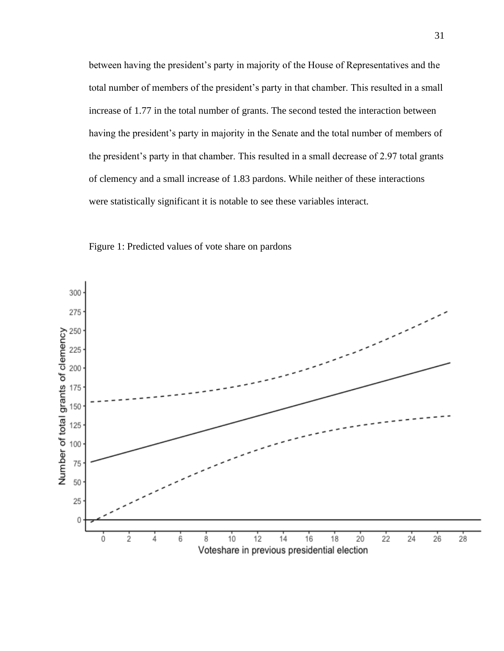between having the president's party in majority of the House of Representatives and the total number of members of the president's party in that chamber. This resulted in a small increase of 1.77 in the total number of grants. The second tested the interaction between having the president's party in majority in the Senate and the total number of members of the president's party in that chamber. This resulted in a small decrease of 2.97 total grants of clemency and a small increase of 1.83 pardons. While neither of these interactions were statistically significant it is notable to see these variables interact.



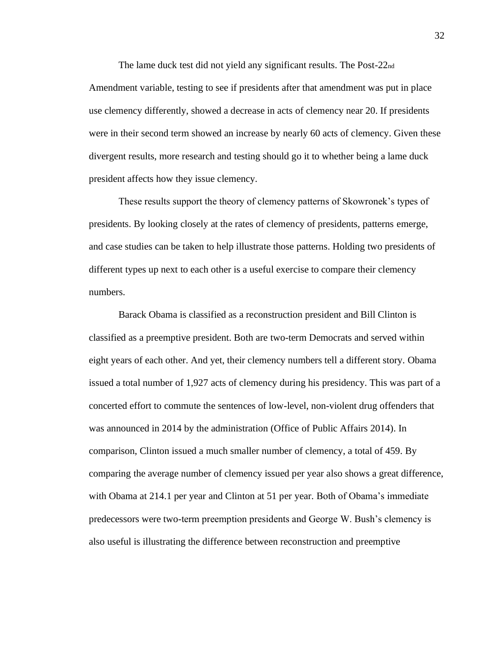The lame duck test did not yield any significant results. The Post-22nd Amendment variable, testing to see if presidents after that amendment was put in place use clemency differently, showed a decrease in acts of clemency near 20. If presidents were in their second term showed an increase by nearly 60 acts of clemency. Given these divergent results, more research and testing should go it to whether being a lame duck president affects how they issue clemency.

These results support the theory of clemency patterns of Skowronek's types of presidents. By looking closely at the rates of clemency of presidents, patterns emerge, and case studies can be taken to help illustrate those patterns. Holding two presidents of different types up next to each other is a useful exercise to compare their clemency numbers.

Barack Obama is classified as a reconstruction president and Bill Clinton is classified as a preemptive president. Both are two-term Democrats and served within eight years of each other. And yet, their clemency numbers tell a different story. Obama issued a total number of 1,927 acts of clemency during his presidency. This was part of a concerted effort to commute the sentences of low-level, non-violent drug offenders that was announced in 2014 by the administration (Office of Public Affairs 2014). In comparison, Clinton issued a much smaller number of clemency, a total of 459. By comparing the average number of clemency issued per year also shows a great difference, with Obama at 214.1 per year and Clinton at 51 per year. Both of Obama's immediate predecessors were two-term preemption presidents and George W. Bush's clemency is also useful is illustrating the difference between reconstruction and preemptive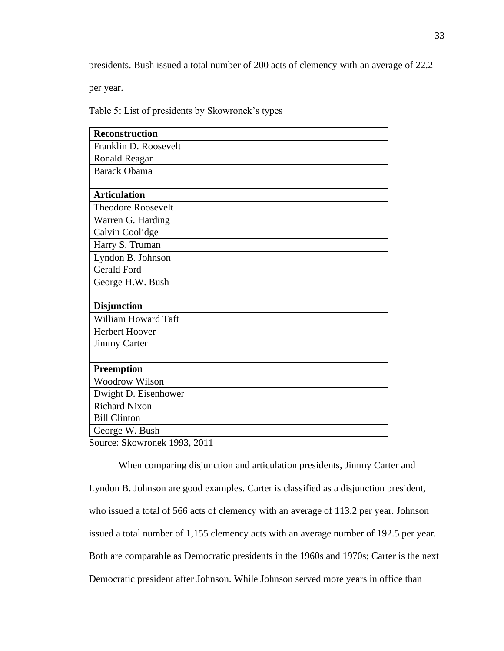presidents. Bush issued a total number of 200 acts of clemency with an average of 22.2

per year.

Table 5: List of presidents by Skowronek's types

| Reconstruction            |
|---------------------------|
| Franklin D. Roosevelt     |
| Ronald Reagan             |
| <b>Barack Obama</b>       |
|                           |
| <b>Articulation</b>       |
| <b>Theodore Roosevelt</b> |
| Warren G. Harding         |
| Calvin Coolidge           |
| Harry S. Truman           |
| Lyndon B. Johnson         |
| <b>Gerald Ford</b>        |
| George H.W. Bush          |
|                           |
| <b>Disjunction</b>        |
| William Howard Taft       |
| Herbert Hoover            |
| <b>Jimmy Carter</b>       |
|                           |
| <b>Preemption</b>         |
| <b>Woodrow Wilson</b>     |
| Dwight D. Eisenhower      |
| <b>Richard Nixon</b>      |
| <b>Bill Clinton</b>       |
| George W. Bush            |
|                           |

Source: Skowronek 1993, 2011

When comparing disjunction and articulation presidents, Jimmy Carter and Lyndon B. Johnson are good examples. Carter is classified as a disjunction president, who issued a total of 566 acts of clemency with an average of 113.2 per year. Johnson issued a total number of 1,155 clemency acts with an average number of 192.5 per year. Both are comparable as Democratic presidents in the 1960s and 1970s; Carter is the next Democratic president after Johnson. While Johnson served more years in office than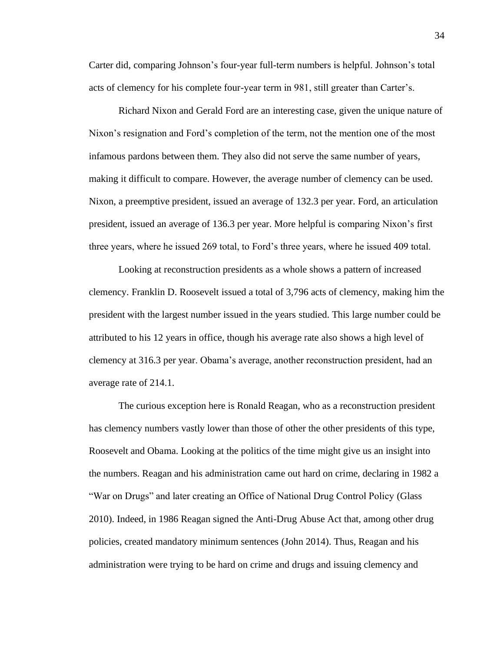Carter did, comparing Johnson's four-year full-term numbers is helpful. Johnson's total acts of clemency for his complete four-year term in 981, still greater than Carter's.

Richard Nixon and Gerald Ford are an interesting case, given the unique nature of Nixon's resignation and Ford's completion of the term, not the mention one of the most infamous pardons between them. They also did not serve the same number of years, making it difficult to compare. However, the average number of clemency can be used. Nixon, a preemptive president, issued an average of 132.3 per year. Ford, an articulation president, issued an average of 136.3 per year. More helpful is comparing Nixon's first three years, where he issued 269 total, to Ford's three years, where he issued 409 total.

Looking at reconstruction presidents as a whole shows a pattern of increased clemency. Franklin D. Roosevelt issued a total of 3,796 acts of clemency, making him the president with the largest number issued in the years studied. This large number could be attributed to his 12 years in office, though his average rate also shows a high level of clemency at 316.3 per year. Obama's average, another reconstruction president, had an average rate of 214.1.

The curious exception here is Ronald Reagan, who as a reconstruction president has clemency numbers vastly lower than those of other the other presidents of this type, Roosevelt and Obama. Looking at the politics of the time might give us an insight into the numbers. Reagan and his administration came out hard on crime, declaring in 1982 a "War on Drugs" and later creating an Office of National Drug Control Policy (Glass 2010). Indeed, in 1986 Reagan signed the Anti-Drug Abuse Act that, among other drug policies, created mandatory minimum sentences (John 2014). Thus, Reagan and his administration were trying to be hard on crime and drugs and issuing clemency and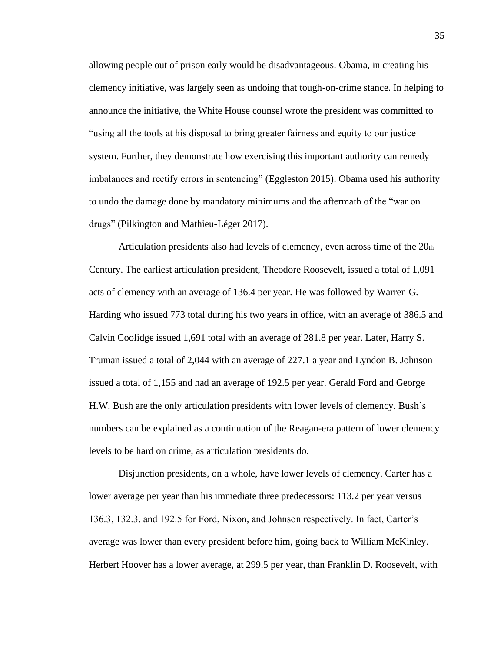allowing people out of prison early would be disadvantageous. Obama, in creating his clemency initiative, was largely seen as undoing that tough-on-crime stance. In helping to announce the initiative, the White House counsel wrote the president was committed to "using all the tools at his disposal to bring greater fairness and equity to our justice system. Further, they demonstrate how exercising this important authority can remedy imbalances and rectify errors in sentencing" (Eggleston 2015). Obama used his authority to undo the damage done by mandatory minimums and the aftermath of the "war on drugs" (Pilkington and Mathieu-Léger 2017).

Articulation presidents also had levels of clemency, even across time of the 20th Century. The earliest articulation president, Theodore Roosevelt, issued a total of 1,091 acts of clemency with an average of 136.4 per year. He was followed by Warren G. Harding who issued 773 total during his two years in office, with an average of 386.5 and Calvin Coolidge issued 1,691 total with an average of 281.8 per year. Later, Harry S. Truman issued a total of 2,044 with an average of 227.1 a year and Lyndon B. Johnson issued a total of 1,155 and had an average of 192.5 per year. Gerald Ford and George H.W. Bush are the only articulation presidents with lower levels of clemency. Bush's numbers can be explained as a continuation of the Reagan-era pattern of lower clemency levels to be hard on crime, as articulation presidents do.

Disjunction presidents, on a whole, have lower levels of clemency. Carter has a lower average per year than his immediate three predecessors: 113.2 per year versus 136.3, 132.3, and 192.5 for Ford, Nixon, and Johnson respectively. In fact, Carter's average was lower than every president before him, going back to William McKinley. Herbert Hoover has a lower average, at 299.5 per year, than Franklin D. Roosevelt, with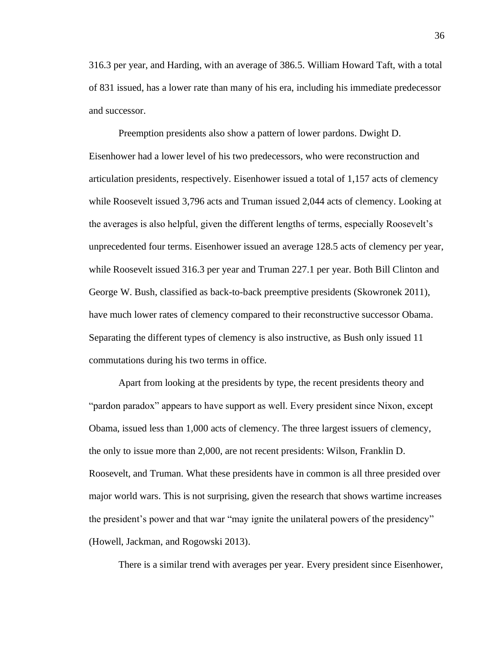316.3 per year, and Harding, with an average of 386.5. William Howard Taft, with a total of 831 issued, has a lower rate than many of his era, including his immediate predecessor and successor.

Preemption presidents also show a pattern of lower pardons. Dwight D. Eisenhower had a lower level of his two predecessors, who were reconstruction and articulation presidents, respectively. Eisenhower issued a total of 1,157 acts of clemency while Roosevelt issued 3,796 acts and Truman issued 2,044 acts of clemency. Looking at the averages is also helpful, given the different lengths of terms, especially Roosevelt's unprecedented four terms. Eisenhower issued an average 128.5 acts of clemency per year, while Roosevelt issued 316.3 per year and Truman 227.1 per year. Both Bill Clinton and George W. Bush, classified as back-to-back preemptive presidents (Skowronek 2011), have much lower rates of clemency compared to their reconstructive successor Obama. Separating the different types of clemency is also instructive, as Bush only issued 11 commutations during his two terms in office.

Apart from looking at the presidents by type, the recent presidents theory and "pardon paradox" appears to have support as well. Every president since Nixon, except Obama, issued less than 1,000 acts of clemency. The three largest issuers of clemency, the only to issue more than 2,000, are not recent presidents: Wilson, Franklin D. Roosevelt, and Truman. What these presidents have in common is all three presided over major world wars. This is not surprising, given the research that shows wartime increases the president's power and that war "may ignite the unilateral powers of the presidency" (Howell, Jackman, and Rogowski 2013).

There is a similar trend with averages per year. Every president since Eisenhower,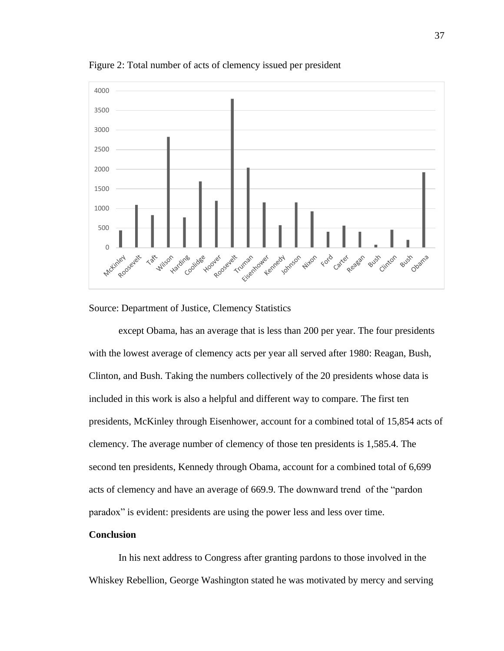

Figure 2: Total number of acts of clemency issued per president



except Obama, has an average that is less than 200 per year. The four presidents with the lowest average of clemency acts per year all served after 1980: Reagan, Bush, Clinton, and Bush. Taking the numbers collectively of the 20 presidents whose data is included in this work is also a helpful and different way to compare. The first ten presidents, McKinley through Eisenhower, account for a combined total of 15,854 acts of clemency. The average number of clemency of those ten presidents is 1,585.4. The second ten presidents, Kennedy through Obama, account for a combined total of 6,699 acts of clemency and have an average of 669.9. The downward trend of the "pardon paradox" is evident: presidents are using the power less and less over time.

### **Conclusion**

In his next address to Congress after granting pardons to those involved in the Whiskey Rebellion, George Washington stated he was motivated by mercy and serving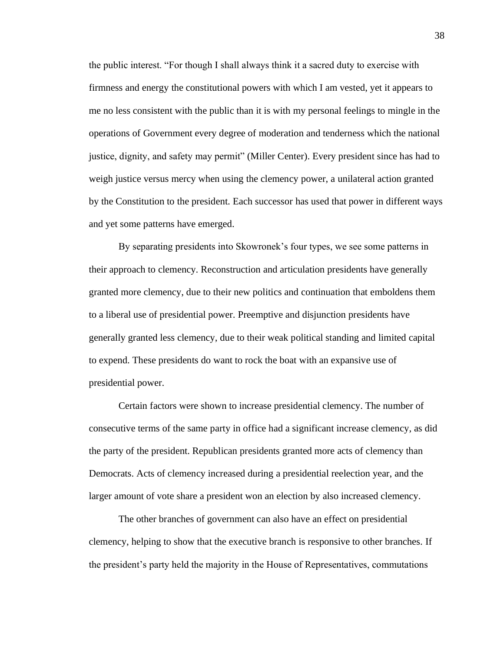the public interest. "For though I shall always think it a sacred duty to exercise with firmness and energy the constitutional powers with which I am vested, yet it appears to me no less consistent with the public than it is with my personal feelings to mingle in the operations of Government every degree of moderation and tenderness which the national justice, dignity, and safety may permit" (Miller Center). Every president since has had to weigh justice versus mercy when using the clemency power, a unilateral action granted by the Constitution to the president. Each successor has used that power in different ways and yet some patterns have emerged.

By separating presidents into Skowronek's four types, we see some patterns in their approach to clemency. Reconstruction and articulation presidents have generally granted more clemency, due to their new politics and continuation that emboldens them to a liberal use of presidential power. Preemptive and disjunction presidents have generally granted less clemency, due to their weak political standing and limited capital to expend. These presidents do want to rock the boat with an expansive use of presidential power.

Certain factors were shown to increase presidential clemency. The number of consecutive terms of the same party in office had a significant increase clemency, as did the party of the president. Republican presidents granted more acts of clemency than Democrats. Acts of clemency increased during a presidential reelection year, and the larger amount of vote share a president won an election by also increased clemency.

The other branches of government can also have an effect on presidential clemency, helping to show that the executive branch is responsive to other branches. If the president's party held the majority in the House of Representatives, commutations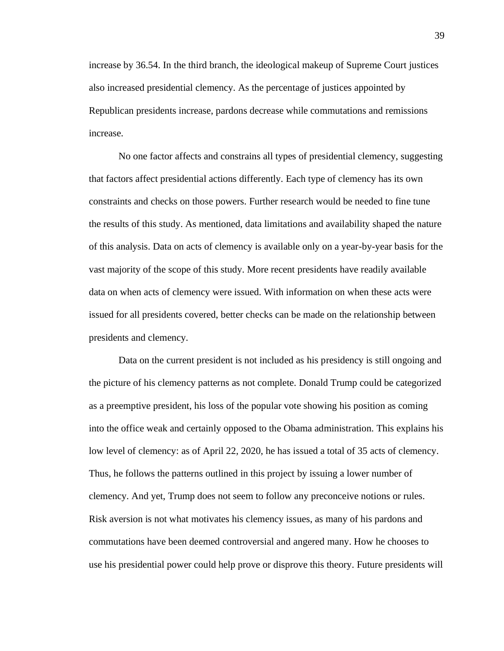increase by 36.54. In the third branch, the ideological makeup of Supreme Court justices also increased presidential clemency. As the percentage of justices appointed by Republican presidents increase, pardons decrease while commutations and remissions increase.

No one factor affects and constrains all types of presidential clemency, suggesting that factors affect presidential actions differently. Each type of clemency has its own constraints and checks on those powers. Further research would be needed to fine tune the results of this study. As mentioned, data limitations and availability shaped the nature of this analysis. Data on acts of clemency is available only on a year-by-year basis for the vast majority of the scope of this study. More recent presidents have readily available data on when acts of clemency were issued. With information on when these acts were issued for all presidents covered, better checks can be made on the relationship between presidents and clemency.

Data on the current president is not included as his presidency is still ongoing and the picture of his clemency patterns as not complete. Donald Trump could be categorized as a preemptive president, his loss of the popular vote showing his position as coming into the office weak and certainly opposed to the Obama administration. This explains his low level of clemency: as of April 22, 2020, he has issued a total of 35 acts of clemency. Thus, he follows the patterns outlined in this project by issuing a lower number of clemency. And yet, Trump does not seem to follow any preconceive notions or rules. Risk aversion is not what motivates his clemency issues, as many of his pardons and commutations have been deemed controversial and angered many. How he chooses to use his presidential power could help prove or disprove this theory. Future presidents will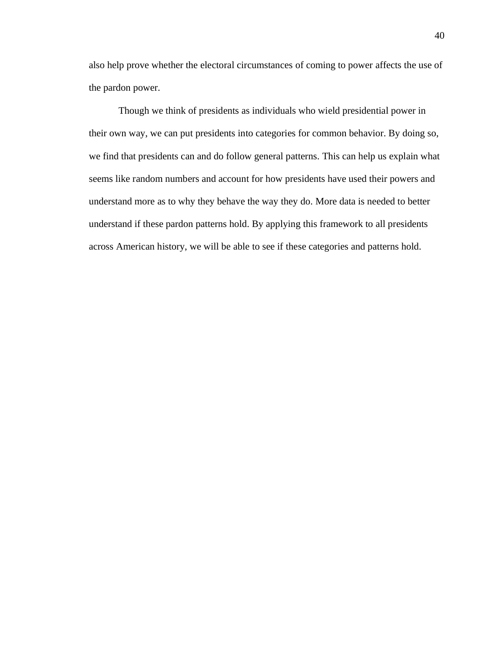also help prove whether the electoral circumstances of coming to power affects the use of the pardon power.

Though we think of presidents as individuals who wield presidential power in their own way, we can put presidents into categories for common behavior. By doing so, we find that presidents can and do follow general patterns. This can help us explain what seems like random numbers and account for how presidents have used their powers and understand more as to why they behave the way they do. More data is needed to better understand if these pardon patterns hold. By applying this framework to all presidents across American history, we will be able to see if these categories and patterns hold.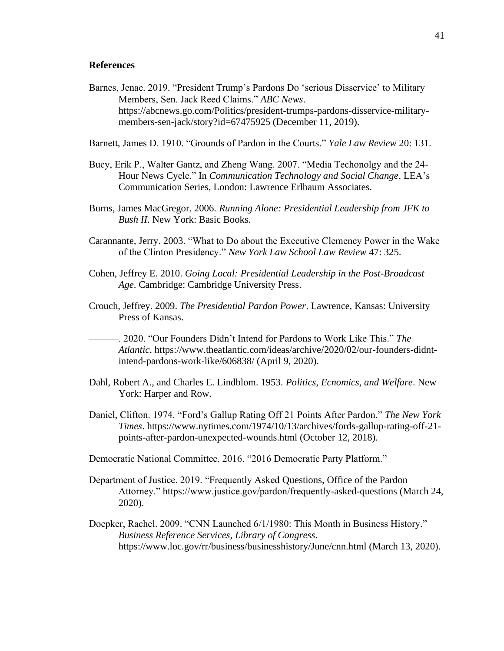### **References**

- Barnes, Jenae. 2019. "President Trump's Pardons Do 'serious Disservice' to Military Members, Sen. Jack Reed Claims." *ABC News*. https://abcnews.go.com/Politics/president-trumps-pardons-disservice-militarymembers-sen-jack/story?id=67475925 (December 11, 2019).
- Barnett, James D. 1910. "Grounds of Pardon in the Courts." *Yale Law Review* 20: 131.
- Bucy, Erik P., Walter Gantz, and Zheng Wang. 2007. "Media Techonolgy and the 24- Hour News Cycle." In *Communication Technology and Social Change*, LEA's Communication Series, London: Lawrence Erlbaum Associates.
- Burns, James MacGregor. 2006. *Running Alone: Presidential Leadership from JFK to Bush II*. New York: Basic Books.
- Carannante, Jerry. 2003. "What to Do about the Executive Clemency Power in the Wake of the Clinton Presidency." *New York Law School Law Review* 47: 325.
- Cohen, Jeffrey E. 2010. *Going Local: Presidential Leadership in the Post-Broadcast Age*. Cambridge: Cambridge University Press.
- Crouch, Jeffrey. 2009. *The Presidential Pardon Power*. Lawrence, Kansas: University Press of Kansas.
	- ———. 2020. "Our Founders Didn't Intend for Pardons to Work Like This." *The Atlantic*. https://www.theatlantic.com/ideas/archive/2020/02/our-founders-didntintend-pardons-work-like/606838/ (April 9, 2020).
- Dahl, Robert A., and Charles E. Lindblom. 1953. *Politics, Ecnomics, and Welfare*. New York: Harper and Row.
- Daniel, Clifton. 1974. "Ford's Gallup Rating Off 21 Points After Pardon." *The New York Times*. https://www.nytimes.com/1974/10/13/archives/fords-gallup-rating-off-21 points-after-pardon-unexpected-wounds.html (October 12, 2018).
- Democratic National Committee. 2016. "2016 Democratic Party Platform."
- Department of Justice. 2019. "Frequently Asked Questions, Office of the Pardon Attorney." https://www.justice.gov/pardon/frequently-asked-questions (March 24, 2020).
- Doepker, Rachel. 2009. "CNN Launched 6/1/1980: This Month in Business History." *Business Reference Services, Library of Congress*. https://www.loc.gov/rr/business/businesshistory/June/cnn.html (March 13, 2020).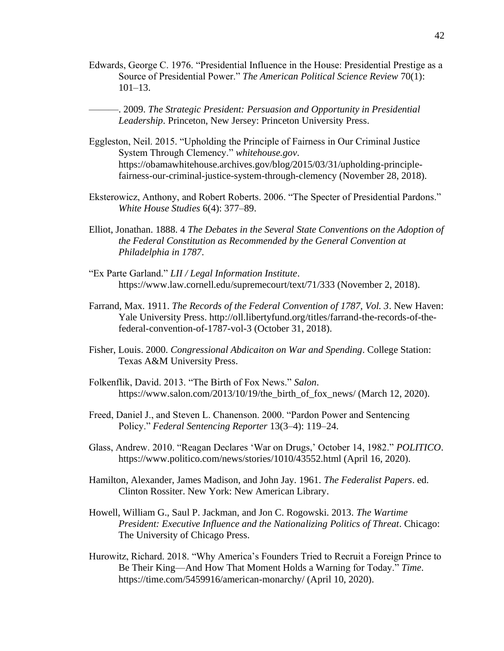Edwards, George C. 1976. "Presidential Influence in the House: Presidential Prestige as a Source of Presidential Power." *The American Political Science Review* 70(1):  $101-13$ .

———. 2009. *The Strategic President: Persuasion and Opportunity in Presidential Leadership*. Princeton, New Jersey: Princeton University Press.

- Eggleston, Neil. 2015. "Upholding the Principle of Fairness in Our Criminal Justice System Through Clemency." *whitehouse.gov*. https://obamawhitehouse.archives.gov/blog/2015/03/31/upholding-principlefairness-our-criminal-justice-system-through-clemency (November 28, 2018).
- Eksterowicz, Anthony, and Robert Roberts. 2006. "The Specter of Presidential Pardons." *White House Studies* 6(4): 377–89.
- Elliot, Jonathan. 1888. 4 *The Debates in the Several State Conventions on the Adoption of the Federal Constitution as Recommended by the General Convention at Philadelphia in 1787*.
- "Ex Parte Garland." *LII / Legal Information Institute*. https://www.law.cornell.edu/supremecourt/text/71/333 (November 2, 2018).
- Farrand, Max. 1911. *The Records of the Federal Convention of 1787, Vol. 3*. New Haven: Yale University Press. http://oll.libertyfund.org/titles/farrand-the-records-of-thefederal-convention-of-1787-vol-3 (October 31, 2018).
- Fisher, Louis. 2000. *Congressional Abdicaiton on War and Spending*. College Station: Texas A&M University Press.
- Folkenflik, David. 2013. "The Birth of Fox News." *Salon*. https://www.salon.com/2013/10/19/the birth of fox news/ (March 12, 2020).
- Freed, Daniel J., and Steven L. Chanenson. 2000. "Pardon Power and Sentencing Policy." *Federal Sentencing Reporter* 13(3–4): 119–24.
- Glass, Andrew. 2010. "Reagan Declares 'War on Drugs,' October 14, 1982." *POLITICO*. https://www.politico.com/news/stories/1010/43552.html (April 16, 2020).
- Hamilton, Alexander, James Madison, and John Jay. 1961. *The Federalist Papers*. ed. Clinton Rossiter. New York: New American Library.
- Howell, William G., Saul P. Jackman, and Jon C. Rogowski. 2013. *The Wartime President: Executive Influence and the Nationalizing Politics of Threat*. Chicago: The University of Chicago Press.
- Hurowitz, Richard. 2018. "Why America's Founders Tried to Recruit a Foreign Prince to Be Their King—And How That Moment Holds a Warning for Today." *Time*. https://time.com/5459916/american-monarchy/ (April 10, 2020).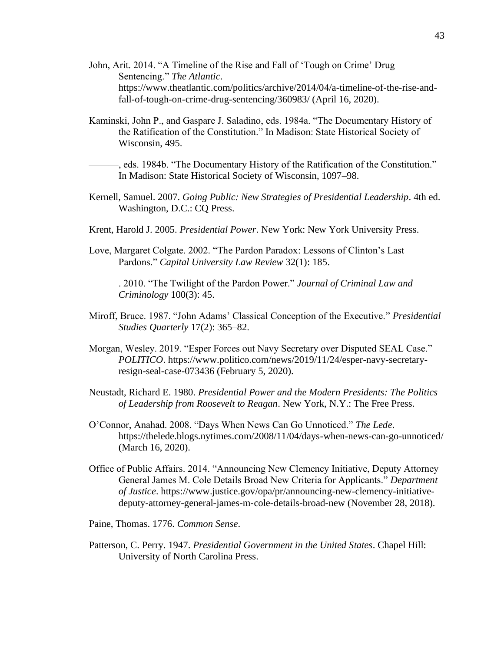- John, Arit. 2014. "A Timeline of the Rise and Fall of 'Tough on Crime' Drug Sentencing." *The Atlantic*. https://www.theatlantic.com/politics/archive/2014/04/a-timeline-of-the-rise-andfall-of-tough-on-crime-drug-sentencing/360983/ (April 16, 2020).
- Kaminski, John P., and Gaspare J. Saladino, eds. 1984a. "The Documentary History of the Ratification of the Constitution." In Madison: State Historical Society of Wisconsin, 495.
- ———, eds. 1984b. "The Documentary History of the Ratification of the Constitution." In Madison: State Historical Society of Wisconsin, 1097–98.
- Kernell, Samuel. 2007. *Going Public: New Strategies of Presidential Leadership*. 4th ed. Washington, D.C.: CQ Press.
- Krent, Harold J. 2005. *Presidential Power*. New York: New York University Press.
- Love, Margaret Colgate. 2002. "The Pardon Paradox: Lessons of Clinton's Last Pardons." *Capital University Law Review* 32(1): 185.

———. 2010. "The Twilight of the Pardon Power." *Journal of Criminal Law and Criminology* 100(3): 45.

- Miroff, Bruce. 1987. "John Adams' Classical Conception of the Executive." *Presidential Studies Quarterly* 17(2): 365–82.
- Morgan, Wesley. 2019. "Esper Forces out Navy Secretary over Disputed SEAL Case." *POLITICO*. https://www.politico.com/news/2019/11/24/esper-navy-secretaryresign-seal-case-073436 (February 5, 2020).
- Neustadt, Richard E. 1980. *Presidential Power and the Modern Presidents: The Politics of Leadership from Roosevelt to Reagan*. New York, N.Y.: The Free Press.
- O'Connor, Anahad. 2008. "Days When News Can Go Unnoticed." *The Lede*. https://thelede.blogs.nytimes.com/2008/11/04/days-when-news-can-go-unnoticed/ (March 16, 2020).
- Office of Public Affairs. 2014. "Announcing New Clemency Initiative, Deputy Attorney General James M. Cole Details Broad New Criteria for Applicants." *Department of Justice*. https://www.justice.gov/opa/pr/announcing-new-clemency-initiativedeputy-attorney-general-james-m-cole-details-broad-new (November 28, 2018).

Paine, Thomas. 1776. *Common Sense*.

Patterson, C. Perry. 1947. *Presidential Government in the United States*. Chapel Hill: University of North Carolina Press.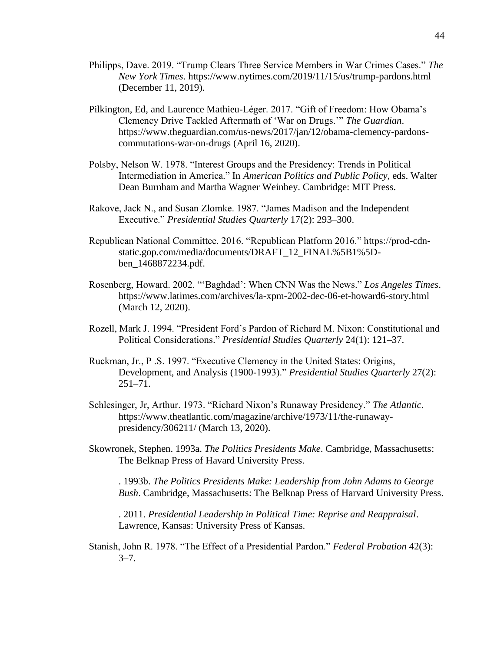- Philipps, Dave. 2019. "Trump Clears Three Service Members in War Crimes Cases." *The New York Times*. https://www.nytimes.com/2019/11/15/us/trump-pardons.html (December 11, 2019).
- Pilkington, Ed, and Laurence Mathieu-Léger. 2017. "Gift of Freedom: How Obama's Clemency Drive Tackled Aftermath of 'War on Drugs.'" *The Guardian*. https://www.theguardian.com/us-news/2017/jan/12/obama-clemency-pardonscommutations-war-on-drugs (April 16, 2020).
- Polsby, Nelson W. 1978. "Interest Groups and the Presidency: Trends in Political Intermediation in America." In *American Politics and Public Policy*, eds. Walter Dean Burnham and Martha Wagner Weinbey. Cambridge: MIT Press.
- Rakove, Jack N., and Susan Zlomke. 1987. "James Madison and the Independent Executive." *Presidential Studies Quarterly* 17(2): 293–300.
- Republican National Committee. 2016. "Republican Platform 2016." https://prod-cdnstatic.gop.com/media/documents/DRAFT\_12\_FINAL%5B1%5Dben\_1468872234.pdf.
- Rosenberg, Howard. 2002. "'Baghdad': When CNN Was the News." *Los Angeles Times*. https://www.latimes.com/archives/la-xpm-2002-dec-06-et-howard6-story.html (March 12, 2020).
- Rozell, Mark J. 1994. "President Ford's Pardon of Richard M. Nixon: Constitutional and Political Considerations." *Presidential Studies Quarterly* 24(1): 121–37.
- Ruckman, Jr., P .S. 1997. "Executive Clemency in the United States: Origins, Development, and Analysis (1900-1993)." *Presidential Studies Quarterly* 27(2): 251–71.
- Schlesinger, Jr, Arthur. 1973. "Richard Nixon's Runaway Presidency." *The Atlantic*. https://www.theatlantic.com/magazine/archive/1973/11/the-runawaypresidency/306211/ (March 13, 2020).
- Skowronek, Stephen. 1993a. *The Politics Presidents Make*. Cambridge, Massachusetts: The Belknap Press of Havard University Press.
- ———. 1993b. *The Politics Presidents Make: Leadership from John Adams to George Bush*. Cambridge, Massachusetts: The Belknap Press of Harvard University Press.
- ———. 2011. *Presidential Leadership in Political Time: Reprise and Reappraisal*. Lawrence, Kansas: University Press of Kansas.
- Stanish, John R. 1978. "The Effect of a Presidential Pardon." *Federal Probation* 42(3):  $3 - 7$ .